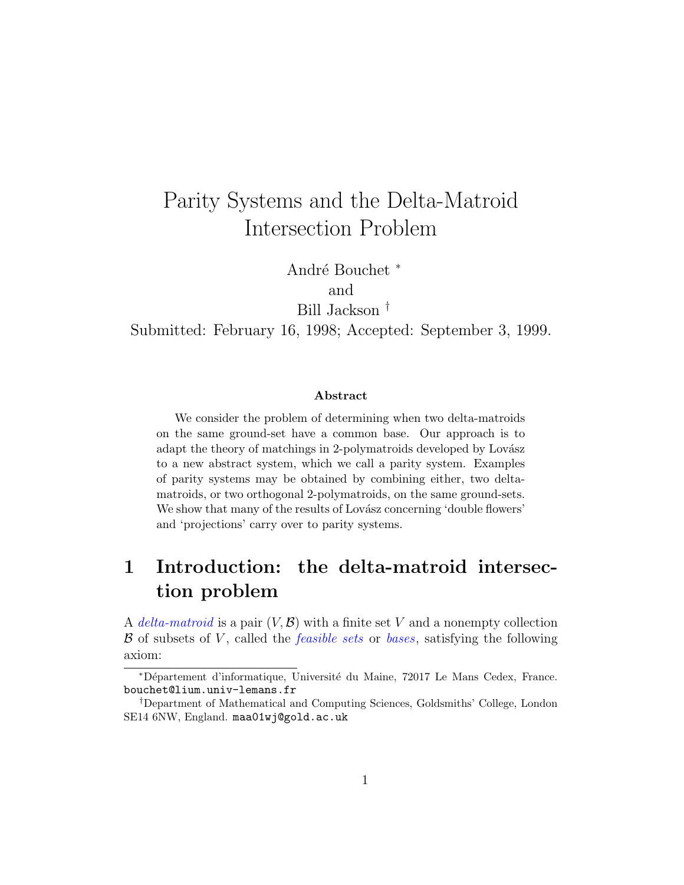# <span id="page-0-0"></span>Parity Systems and the Delta-Matroid Intersection Problem

André Bouchet \*

and

Bill Jackson †

Submitted: February 16, 1998; Accepted: September 3, 1999.

#### Abstract

We consider the problem of determining when two delta-matroids on the same ground-set have a common base. Our approach is to adapt the theory of matchings in 2-polymatroids developed by Lovász to a new abstract system, which we call a parity system. Examples of parity systems may be obtained by combining either, two deltamatroids, or two orthogonal 2-polymatroids, on the same ground-sets. We show that many of the results of Lovász concerning 'double flowers' and 'projections' carry over to parity systems.

# 1 Introduction: the delta-matroid intersection problem

A delta-matroid is a pair  $(V, \mathcal{B})$  with a finite set V and a nonempty collection  $\beta$  of subsets of V, called the *feasible sets* or *bases*, satisfying the following axiom:

<sup>∗</sup>D´epartement d'informatique, Universit´e du Maine, 72017 Le Mans Cedex, France. bouchet@lium.univ-lemans.fr

<sup>†</sup>Department of Mathematical and Computing Sciences, Goldsmiths' College, London SE14 6NW, England. maa01wj@gold.ac.uk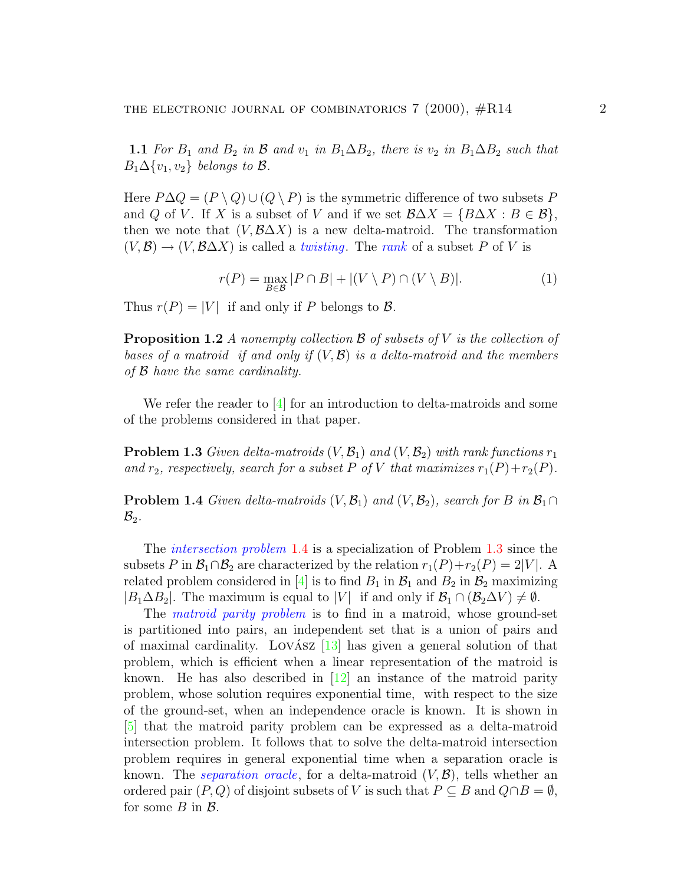<span id="page-1-3"></span>1.1 For  $B_1$  and  $B_2$  in  $\beta$  and  $v_1$  in  $B_1 \Delta B_2$ , there is  $v_2$  in  $B_1 \Delta B_2$  such that  $B_1\Delta\{v_1, v_2\}$  belongs to B.

Here  $P\Delta Q = (P \setminus Q) \cup (Q \setminus P)$  is the symmetric difference of two subsets P and Q of V. If X is a subset of V and if we set  $\mathcal{B}\Delta X = \{B\Delta X : B \in \mathcal{B}\},\$ then we note that  $(V, \mathcal{B}\Delta X)$  is a new delta-matroid. The transformation  $(V, \mathcal{B}) \to (V, \mathcal{B}\Delta X)$  is called a *twisting*. The *rank* of a subset P of V is

$$
r(P) = \max_{B \in \mathcal{B}} |P \cap B| + |(V \setminus P) \cap (V \setminus B)|. \tag{1}
$$

Thus  $r(P) = |V|$  if and only if P belongs to B.

<span id="page-1-2"></span>**Proposition 1.2** A nonempty collection B of subsets of V is the collection of bases of a matroid if and only if  $(V, \mathcal{B})$  is a delta-matroid and the members of B have the same cardinality.

We refer the reader to [\[4](#page-20-0)] for an introduction to delta-matroids and some of the problems considered in that paper.

<span id="page-1-1"></span>**Problem 1.3** Given delta-matroids  $(V, \mathcal{B}_1)$  and  $(V, \mathcal{B}_2)$  with rank functions  $r_1$ and  $r_2$ , respectively, search for a subset P of V that maximizes  $r_1(P)+r_2(P)$ .

<span id="page-1-0"></span>**Problem 1.4** Given delta-matroids  $(V, \mathcal{B}_1)$  and  $(V, \mathcal{B}_2)$ , search for B in  $\mathcal{B}_1 \cap$  $\mathcal{B}_2$ .

The *intersection problem* [1.4](#page-1-0) is a specialization of Problem [1.3](#page-1-1) since the subsets P in  $\mathcal{B}_1 \cap \mathcal{B}_2$  are characterized by the relation  $r_1(P) + r_2(P) = 2|V|$ . A related problem considered in [\[4\]](#page-20-0) is to find  $B_1$  in  $B_1$  and  $B_2$  in  $B_2$  maximizing  $|B_1\Delta B_2|$ . The maximum is equal to  $|V|$  if and only if  $\mathcal{B}_1 \cap (\mathcal{B}_2\Delta V) \neq \emptyset$ .

The *matroid parity problem* is to find in a matroid, whose ground-set is partitioned into pairs, an independent set that is a union of pairs and of maximal cardinality. LOVASZ  $\left[13\right]$  $\left[13\right]$  $\left[13\right]$  has given a general solution of that problem, which is efficient when a linear representation of the matroid is known.He has also described in  $|12|$  an instance of the matroid parity problem, whose solution requires exponential time, with respect to the size of the ground-set, when an independence oracle is known. It is shown in [\[5\]](#page-21-2) that the matroid parity problem can be expressed as a delta-matroid intersection problem. It follows that to solve the delta-matroid intersection problem requires in general exponential time when a separation oracle is known. The *separation oracle*, for a delta-matroid  $(V, \mathcal{B})$ , tells whether an ordered pair  $(P, Q)$  of disjoint subsets of V is such that  $P \subseteq B$  and  $Q \cap B = \emptyset$ , for some  $B$  in  $\mathcal{B}$ .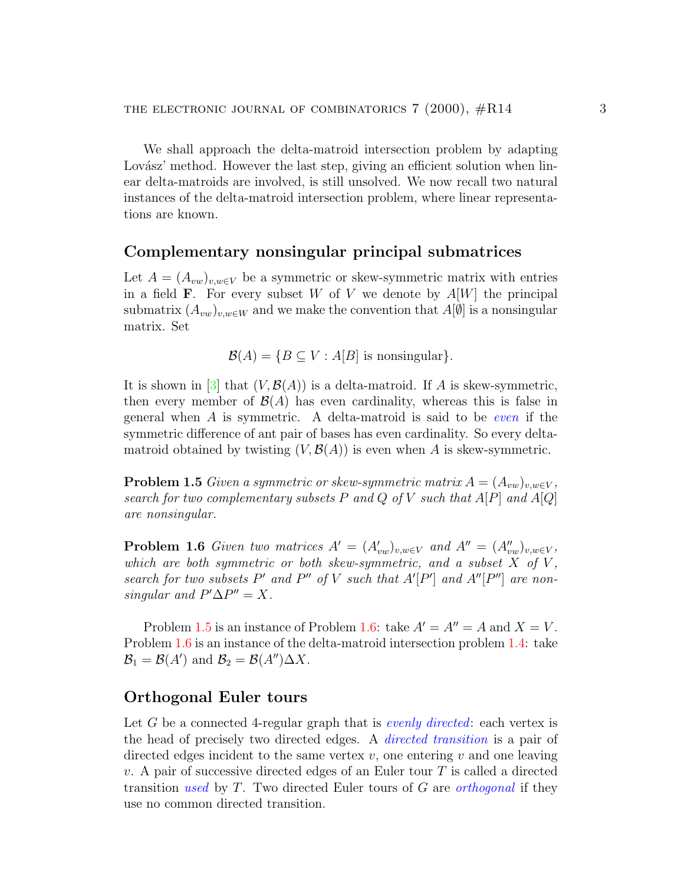<span id="page-2-2"></span>We shall approach the delta-matroid intersection problem by adapting Lovász' method. However the last step, giving an efficient solution when linear delta-matroids are involved, is still unsolved. We now recall two natural instances of the delta-matroid intersection problem, where linear representations are known.

### Complementary nonsingular principal submatrices

Let  $A = (A_{vw})_{v,w \in V}$  be a symmetric or skew-symmetric matrix with entries in a field **F**. For every subset W of V we denote by  $A[W]$  the principal submatrix  $(A_{vw})_{v,w\in W}$  and we make the convention that  $A[\emptyset]$  is a nonsingular matrix. Set

$$
\mathcal{B}(A) = \{ B \subseteq V : A[B] \text{ is nonsingular} \}.
$$

It is shown in [\[3\]](#page-20-1) that  $(V, \mathcal{B}(A))$  is a delta-matroid. If A is skew-symmetric, then every member of  $\mathcal{B}(A)$  has even cardinality, whereas this is false in general when  $A$  is symmetric. A delta-matroid is said to be even if the symmetric difference of ant pair of bases has even cardinality. So every deltamatroid obtained by twisting  $(V, \mathcal{B}(A))$  is even when A is skew-symmetric.

<span id="page-2-0"></span>**Problem 1.5** Given a symmetric or skew-symmetric matrix  $A = (A_{vw})_{v,w \in V}$ , search for two complementary subsets P and Q of V such that  $A[P]$  and  $A[Q]$ are nonsingular.

<span id="page-2-1"></span>**Problem 1.6** Given two matrices  $A' = (A'_{vw})_{v,w \in V}$  and  $A'' = (A''_{vw})_{v,w \in V}$ , which are both symmetric or both skew-symmetric, and a subset  $X$  of  $V$ , search for two subsets  $P'$  and  $P''$  of V such that  $A'[P']$  and  $A''[P'']$  are nonsingular and  $P' \Delta P'' = X$ .

Problem [1.5](#page-2-0) is an instance of Problem [1.6](#page-2-1): take  $A' = A'' = A$  and  $X = V$ . Problem [1.6](#page-2-1) is an instance of the delta-matroid intersection problem [1.4](#page-1-0): take  $\mathcal{B}_1 = \mathcal{B}(A')$  and  $\mathcal{B}_2 = \mathcal{B}(A'')\Delta X$ .

### Orthogonal Euler tours

Let G be a connected 4-regular graph that is *evenly directed*: each vertex is the head of precisely two directed edges. A directed transition is a pair of directed edges incident to the same vertex  $v$ , one entering  $v$  and one leaving v. A pair of successive directed edges of an Euler tour  $T$  is called a directed transition used by  $T$ . Two directed Euler tours of  $G$  are *orthogonal* if they use no common directed transition.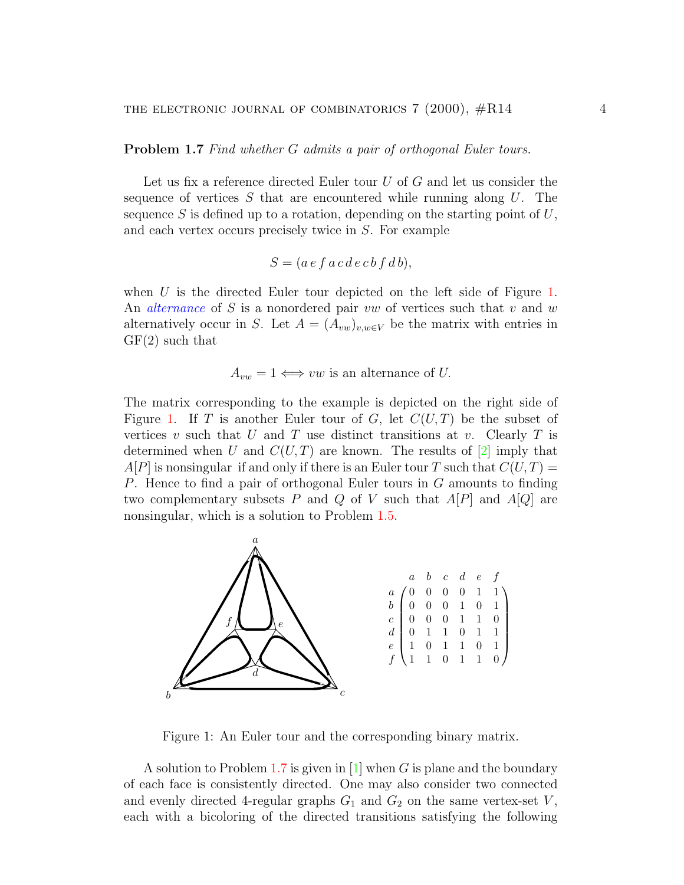<span id="page-3-2"></span><span id="page-3-1"></span>**Problem 1.7** Find whether G admits a pair of orthogonal Euler tours.

Let us fix a reference directed Euler tour U of G and let us consider the sequence of vertices  $S$  that are encountered while running along  $U$ . The sequence  $S$  is defined up to a rotation, depending on the starting point of  $U$ , and each vertex occurs precisely twice in S. For example

$$
S = (a e f a c d e c b f d b),
$$

when U is the directed Euler tour depicted on the left side of Figure [1](#page-3-0). An *alternance* of S is a nonordered pair vw of vertices such that v and w alternatively occur in S. Let  $A = (A_{vw})_{v,w \in V}$  be the matrix with entries in GF(2) such that

$$
A_{vw} = 1 \iff vw
$$
 is an alternate of U.

The matrix corresponding to the example is depicted on the right side of Figure [1](#page-3-0). If T is another Euler tour of G, let  $C(U,T)$  be the subset of vertices v such that U and T use distinct transitions at v. Clearly T is determinedwhen U and  $C(U,T)$  are known. The results of  $[2]$  $[2]$  $[2]$  imply that  $A[P]$  is nonsingular if and only if there is an Euler tour T such that  $C(U, T) =$ P. Hence to find a pair of orthogonal Euler tours in G amounts to finding two complementary subsets P and Q of V such that  $A[P]$  and  $A[Q]$  are nonsingular, which is a solution to Problem [1.5.](#page-2-0)



<span id="page-3-0"></span>Figure 1: An Euler tour and the corresponding binary matrix.

A solution to Problem [1.7](#page-3-1)is given in  $[1]$  $[1]$  when G is plane and the boundary of each face is consistently directed. One may also consider two connected and evenly directed 4-regular graphs  $G_1$  and  $G_2$  on the same vertex-set V, each with a bicoloring of the directed transitions satisfying the following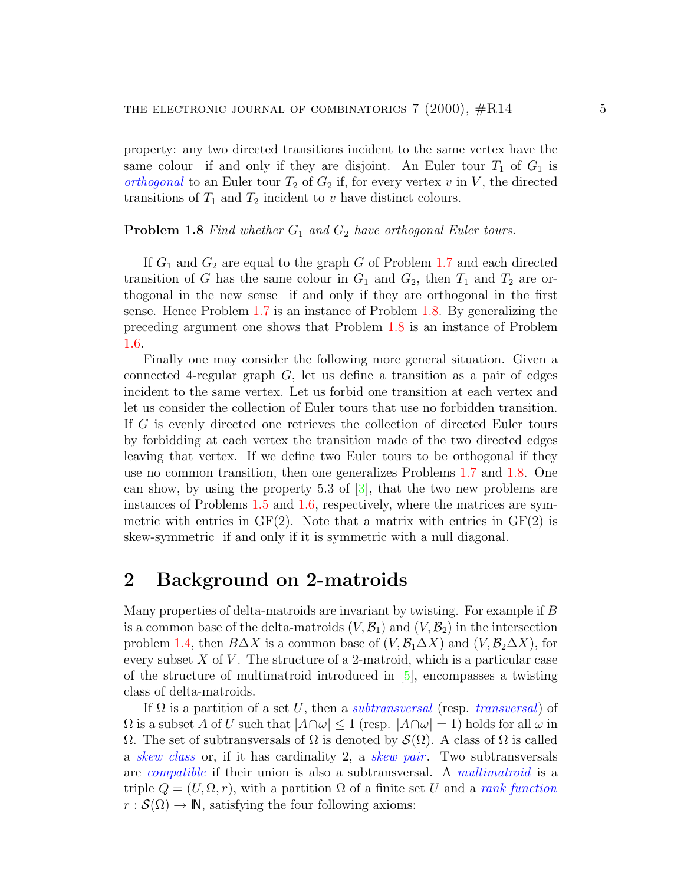<span id="page-4-2"></span>property: any two directed transitions incident to the same vertex have the same colour if and only if they are disjoint. An Euler tour  $T_1$  of  $G_1$  is *orthogonal* to an Euler tour  $T_2$  of  $G_2$  if, for every vertex v in V, the directed transitions of  $T_1$  and  $T_2$  incident to v have distinct colours.

#### <span id="page-4-0"></span>**Problem 1.8** Find whether  $G_1$  and  $G_2$  have orthogonal Euler tours.

If  $G_1$  and  $G_2$  are equal to the graph G of Problem [1.7](#page-3-1) and each directed transition of G has the same colour in  $G_1$  and  $G_2$ , then  $T_1$  and  $T_2$  are orthogonal in the new sense if and only if they are orthogonal in the first sense. Hence Problem [1.7](#page-3-1) is an instance of Problem [1.8.](#page-4-0) By generalizing the preceding argument one shows that Problem [1.8](#page-4-0) is an instance of Problem [1.6.](#page-2-1)

Finally one may consider the following more general situation. Given a connected 4-regular graph  $G$ , let us define a transition as a pair of edges incident to the same vertex. Let us forbid one transition at each vertex and let us consider the collection of Euler tours that use no forbidden transition. If G is evenly directed one retrieves the collection of directed Euler tours by forbidding at each vertex the transition made of the two directed edges leaving that vertex. If we define two Euler tours to be orthogonal if they use no common transition, then one generalizes Problems [1.7](#page-3-1) and [1.8](#page-4-0). One can show, by using the property 5.3 of  $[3]$ , that the two new problems are instances of Problems [1.5](#page-2-0) and [1.6,](#page-2-1) respectively, where the matrices are symmetric with entries in  $GF(2)$ . Note that a matrix with entries in  $GF(2)$  is skew-symmetric if and only if it is symmetric with a null diagonal.

### <span id="page-4-1"></span>2 Background on 2-matroids

Many properties of delta-matroids are invariant by twisting. For example if B is a common base of the delta-matroids  $(V, \mathcal{B}_1)$  and  $(V, \mathcal{B}_2)$  in the intersection problem [1.4,](#page-1-0) then  $B\Delta X$  is a common base of  $(V, \mathcal{B}_1\Delta X)$  and  $(V, \mathcal{B}_2\Delta X)$ , for every subset  $X$  of  $V$ . The structure of a 2-matroid, which is a particular case of the structure of multimatroid introduced in[[5](#page-21-2)], encompasses a twisting class of delta-matroids.

If  $\Omega$  is a partition of a set U, then a *subtransversal* (resp. *transversal*) of  $\Omega$  is a subset A of U such that  $|A \cap \omega| \le 1$  (resp.  $|A \cap \omega| = 1$ ) holds for all  $\omega$  in  $\Omega$ . The set of subtransversals of  $\Omega$  is denoted by  $\mathcal{S}(\Omega)$ . A class of  $\Omega$  is called a skew class or, if it has cardinality 2, a skew pair. Two subtransversals are compatible if their union is also a subtransversal. A multimatroid is a triple  $Q = (U, \Omega, r)$ , with a partition  $\Omega$  of a finite set U and a *rank function*  $r : \mathcal{S}(\Omega) \to \mathbb{N}$ , satisfying the four following axioms: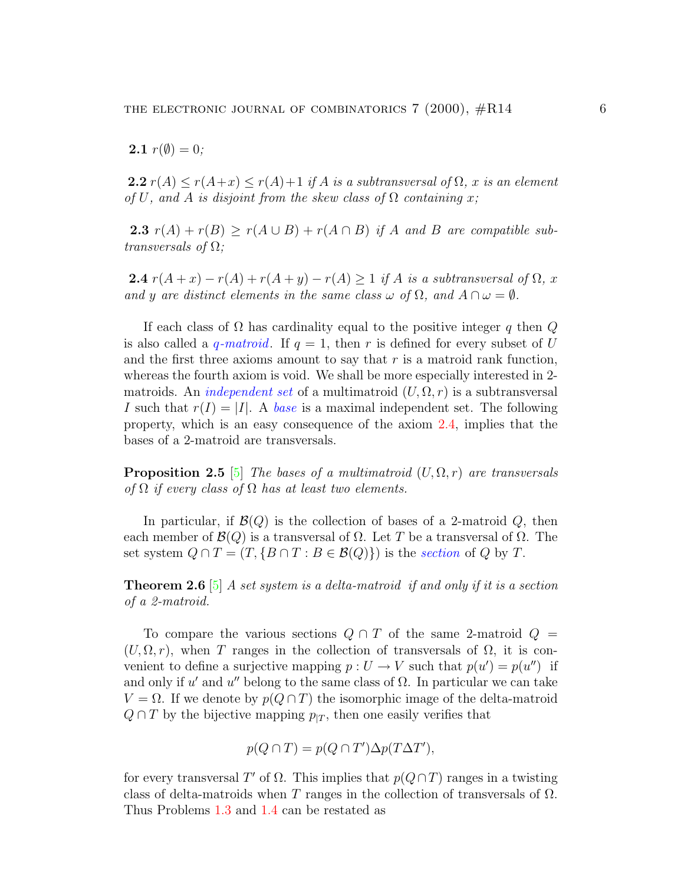<span id="page-5-4"></span>**2.1**  $r(\emptyset) = 0$ ;

<span id="page-5-1"></span>**2.2**  $r(A) \le r(A+x) \le r(A)+1$  if A is a subtransversal of  $\Omega$ , x is an element of U, and A is disjoint from the skew class of  $\Omega$  containing x;

2.3  $r(A) + r(B) \ge r(A \cup B) + r(A \cap B)$  if A and B are compatible subtransversals of  $\Omega$ ;

<span id="page-5-0"></span>2.4  $r(A+x) - r(A) + r(A+y) - r(A) \ge 1$  if A is a subtransversal of  $\Omega$ , x and y are distinct elements in the same class  $\omega$  of  $\Omega$ , and  $A \cap \omega = \emptyset$ .

If each class of  $\Omega$  has cardinality equal to the positive integer q then  $Q$ is also called a *q-matroid*. If  $q = 1$ , then r is defined for every subset of U and the first three axioms amount to say that  $r$  is a matroid rank function, whereas the fourth axiom is void. We shall be more especially interested in 2 matroids. An *independent set* of a multimatroid  $(U, \Omega, r)$  is a subtransversal I such that  $r(I) = |I|$ . A base is a maximal independent set. The following property, which is an easy consequence of the axiom [2.4](#page-5-0), implies that the bases of a 2-matroid are transversals.

<span id="page-5-2"></span>**Proposition 2.5** [\[5\]](#page-21-2) The bases of a multimatroid  $(U, \Omega, r)$  are transversals of  $\Omega$  if every class of  $\Omega$  has at least two elements.

In particular, if  $\mathcal{B}(Q)$  is the collection of bases of a 2-matroid  $Q$ , then each member of  $\mathcal{B}(Q)$  is a transversal of  $\Omega$ . Let T be a transversal of  $\Omega$ . The set system  $Q \cap T = (T, \{B \cap T : B \in \mathcal{B}(Q)\})$  is the section of Q by T.

<span id="page-5-3"></span>**Theorem 2.6** [\[5](#page-21-2)] A set system is a delta-matroid if and only if it is a section of a 2-matroid.

To compare the various sections  $Q \cap T$  of the same 2-matroid  $Q =$  $(U, \Omega, r)$ , when T ranges in the collection of transversals of  $\Omega$ , it is convenient to define a surjective mapping  $p: U \to V$  such that  $p(u') = p(u'')$  if and only if u' and u'' belong to the same class of  $\Omega$ . In particular we can take  $V = \Omega$ . If we denote by  $p(Q \cap T)$  the isomorphic image of the delta-matroid  $Q \cap T$  by the bijective mapping  $p_{|T}$ , then one easily verifies that

$$
p(Q \cap T) = p(Q \cap T')\Delta p(T\Delta T'),
$$

for every transversal T' of  $\Omega$ . This implies that  $p(Q \cap T)$  ranges in a twisting class of delta-matroids when T ranges in the collection of transversals of  $\Omega$ . Thus Problems [1.3](#page-1-1) and [1.4](#page-1-0) can be restated as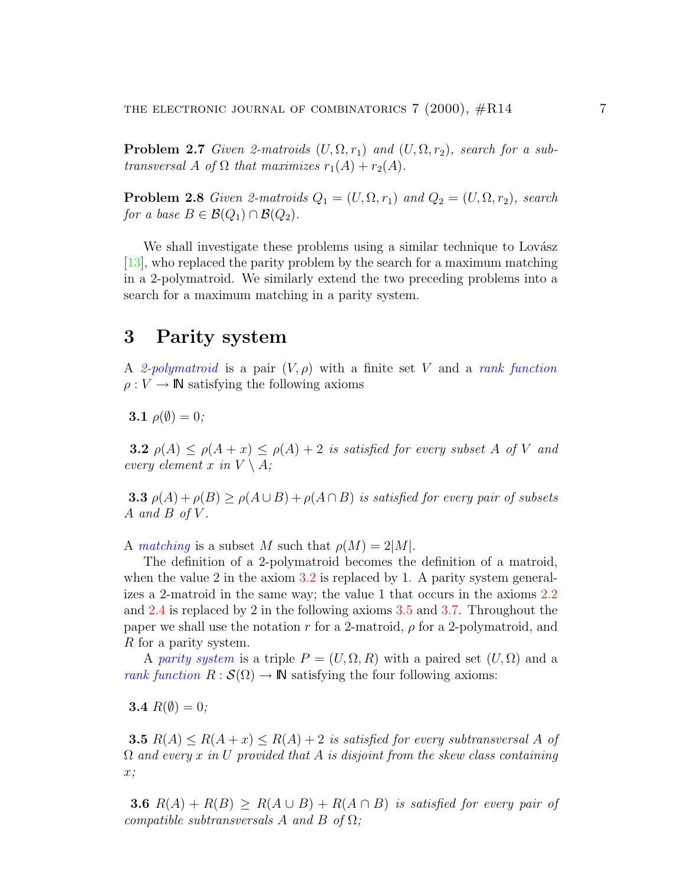<span id="page-6-4"></span><span id="page-6-2"></span>**Problem 2.7** Given 2-matroids  $(U, \Omega, r_1)$  and  $(U, \Omega, r_2)$ , search for a subtransversal A of  $\Omega$  that maximizes  $r_1(A) + r_2(A)$ .

<span id="page-6-3"></span>**Problem 2.8** Given 2-matroids  $Q_1 = (U, \Omega, r_1)$  and  $Q_2 = (U, \Omega, r_2)$ , search for a base  $B \in \mathcal{B}(Q_1) \cap \mathcal{B}(Q_2)$ .

We shall investigate these problems using a similar technique to Lovász [\[13\]](#page-21-0), who replaced the parity problem by the search for a maximum matching in a 2-polymatroid. We similarly extend the two preceding problems into a search for a maximum matching in a parity system.

## 3 Parity system

A 2-polymatroid is a pair  $(V, \rho)$  with a finite set V and a rank function  $\rho: V \to \mathbb{N}$  satisfying the following axioms

$$
3.1 \rho(\emptyset) = 0;
$$

<span id="page-6-0"></span>**3.2**  $\rho(A) \leq \rho(A+x) \leq \rho(A)+2$  is satisfied for every subset A of V and every element x in  $V \setminus A$ ;

**3.3**  $\rho(A) + \rho(B) \ge \rho(A \cup B) + \rho(A \cap B)$  is satisfied for every pair of subsets A and B of V.

A matching is a subset M such that  $\rho(M) = 2|M|$ .

The definition of a 2-polymatroid becomes the definition of a matroid, when the value 2 in the axiom [3.2](#page-6-0) is replaced by 1. A parity system generalizes a 2-matroid in the same way; the value 1 that occurs in the axioms [2.2](#page-5-1) and [2.4](#page-5-0) is replaced by 2 in the following axioms [3.5](#page-6-1) and [3.7](#page-7-0). Throughout the paper we shall use the notation r for a 2-matroid,  $\rho$  for a 2-polymatroid, and R for a parity system.

A parity system is a triple  $P = (U, \Omega, R)$  with a paired set  $(U, \Omega)$  and a rank function  $R : \mathcal{S}(\Omega) \to \mathbb{N}$  satisfying the four following axioms:

**3.4**  $R(\emptyset) = 0$ ;

<span id="page-6-1"></span>**3.5**  $R(A) \leq R(A+x) \leq R(A)+2$  is satisfied for every subtransversal A of  $\Omega$  and every x in U provided that A is disjoint from the skew class containing x;

**3.6**  $R(A) + R(B) > R(A \cup B) + R(A \cap B)$  is satisfied for every pair of compatible subtransversals A and B of  $\Omega$ ;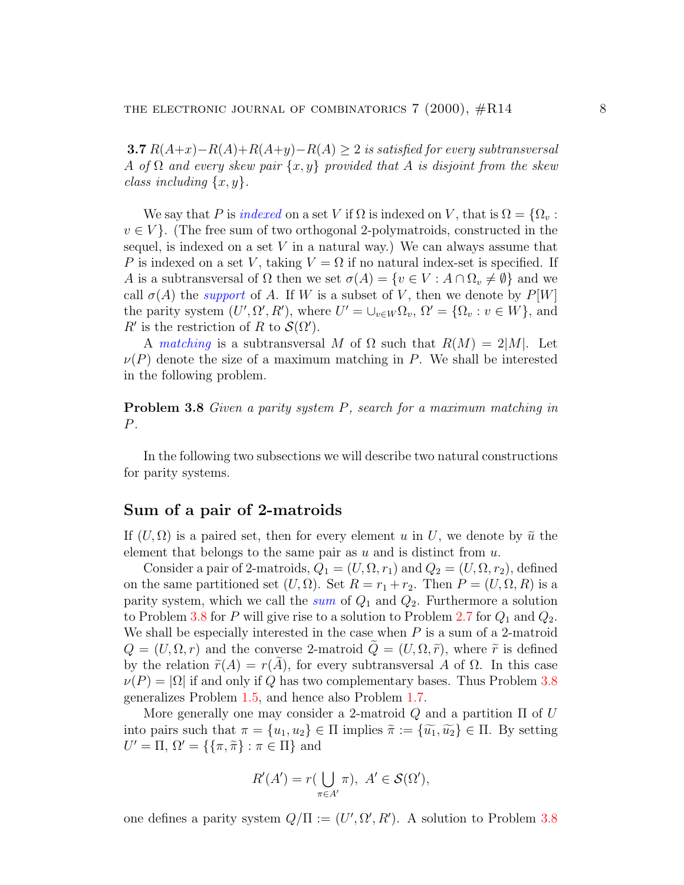<span id="page-7-2"></span><span id="page-7-0"></span>**3.7**  $R(A+x)-R(A)+R(A+y)-R(A) \geq 2$  is satisfied for every subtransversal A of  $\Omega$  and every skew pair  $\{x, y\}$  provided that A is disjoint from the skew class including  $\{x, y\}$ .

We say that P is indexed on a set V if  $\Omega$  is indexed on V, that is  $\Omega = \{ \Omega_v :$  $v \in V$ . (The free sum of two orthogonal 2-polymatroids, constructed in the sequel, is indexed on a set  $V$  in a natural way.) We can always assume that P is indexed on a set V, taking  $V = \Omega$  if no natural index-set is specified. If A is a subtransversal of  $\Omega$  then we set  $\sigma(A) = \{v \in V : A \cap \Omega_v \neq \emptyset\}$  and we call  $\sigma(A)$  the *support* of A. If W is a subset of V, then we denote by  $P[W]$ the parity system  $(U', \Omega', R')$ , where  $U' = \bigcup_{v \in W} \Omega_v$ ,  $\Omega' = \{\Omega_v : v \in W\}$ , and  $R'$  is the restriction of R to  $\mathcal{S}(\Omega')$ .

A matching is a subtransversal M of  $\Omega$  such that  $R(M) = 2|M|$ . Let  $\nu(P)$  denote the size of a maximum matching in P. We shall be interested in the following problem.

<span id="page-7-1"></span>Problem 3.8 Given a parity system P, search for a maximum matching in P.

In the following two subsections we will describe two natural constructions for parity systems.

### Sum of a pair of 2-matroids

If  $(U, \Omega)$  is a paired set, then for every element u in U, we denote by  $\tilde{u}$  the element that belongs to the same pair as  $u$  and is distinct from  $u$ .

Consider a pair of 2-matroids,  $Q_1 = (U, \Omega, r_1)$  and  $Q_2 = (U, \Omega, r_2)$ , defined on the same partitioned set  $(U, \Omega)$ . Set  $R = r_1 + r_2$ . Then  $P = (U, \Omega, R)$  is a parity system, which we call the sum of  $Q_1$  and  $Q_2$ . Furthermore a solution to Problem [3.8](#page-7-1) for P will give rise to a solution to Problem [2.7](#page-6-2) for  $Q_1$  and  $Q_2$ . We shall be especially interested in the case when  $P$  is a sum of a 2-matroid  $Q = (U, \Omega, r)$  and the converse 2-matroid  $\tilde{Q} = (U, \Omega, \tilde{r})$ , where  $\tilde{r}$  is defined by the relation  $\tilde{r}(A) = r(A)$ , for every subtransversal A of  $\Omega$ . In this case  $\nu(P) = |\Omega|$  if and only if Q has two complementary bases. Thus Problem [3.8](#page-7-1) generalizes Problem [1.5](#page-2-0), and hence also Problem [1.7](#page-3-1).

More generally one may consider a 2-matroid  $Q$  and a partition  $\Pi$  of  $U$ into pairs such that  $\pi = \{u_1, u_2\} \in \Pi$  implies  $\tilde{\pi} := \{\tilde{u_1}, \tilde{u_2}\} \in \Pi$ . By setting  $U' = \Pi, \, \Omega' = \{ \{\pi, \tilde{\pi} \} : \pi \in \Pi \}$  and

$$
R'(A') = r(\bigcup_{\pi \in A'} \pi), \ A' \in \mathcal{S}(\Omega'),
$$

one defines a parity system  $Q/\Pi := (U', \Omega', R')$ . A solution to Problem [3.8](#page-7-1)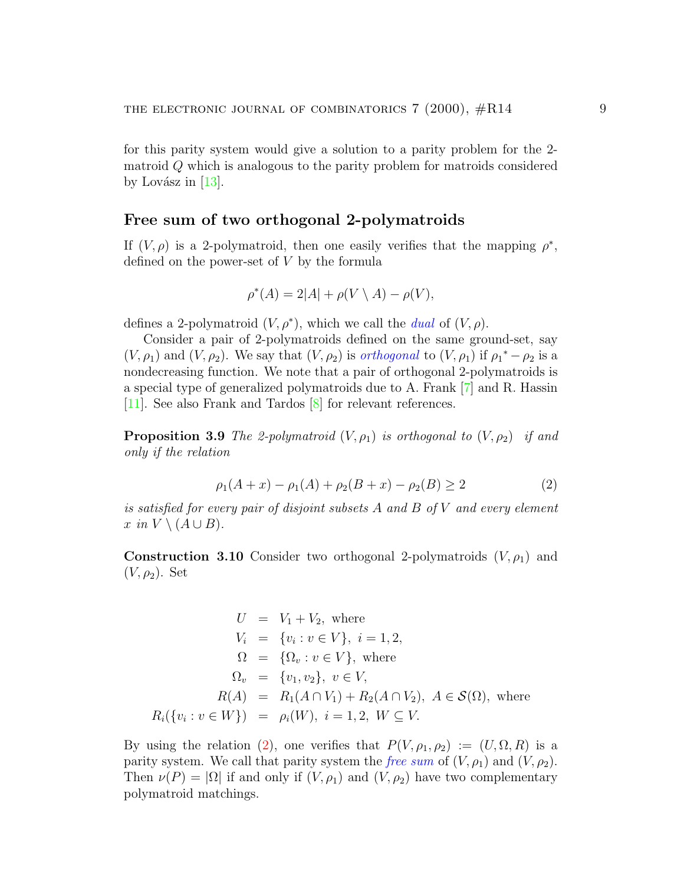<span id="page-8-1"></span>for this parity system would give a solution to a parity problem for the 2 matroid Q which is analogous to the parity problem for matroids considered byLovász in  $|13|$  $|13|$  $|13|$ .

### Free sum of two orthogonal 2-polymatroids

If  $(V, \rho)$  is a 2-polymatroid, then one easily verifies that the mapping  $\rho^*$ , defined on the power-set of V by the formula

$$
\rho^*(A) = 2|A| + \rho(V \setminus A) - \rho(V),
$$

defines a 2-polymatroid  $(V, \rho^*)$ , which we call the *dual* of  $(V, \rho)$ .

Consider a pair of 2-polymatroids defined on the same ground-set, say  $(V, \rho_1)$  and  $(V, \rho_2)$ . We say that  $(V, \rho_2)$  is *orthogonal* to  $(V, \rho_1)$  if  $\rho_1^* - \rho_2$  is a nondecreasing function. We note that a pair of orthogonal 2-polymatroids is a special type of generalized polymatroids due to A. Frank [\[7](#page-21-3)] and R. Hassin [\[11\]](#page-21-4). See also Frank and Tardos [\[8](#page-21-5)] for relevant references.

**Proposition 3.9** The 2-polymatroid  $(V, \rho_1)$  is orthogonal to  $(V, \rho_2)$  if and only if the relation

<span id="page-8-0"></span>
$$
\rho_1(A+x) - \rho_1(A) + \rho_2(B+x) - \rho_2(B) \ge 2 \tag{2}
$$

is satisfied for every pair of disjoint subsets A and B of V and every element x in  $V \setminus (A \cup B)$ .

**Construction 3.10** Consider two orthogonal 2-polymatroids  $(V, \rho_1)$  and  $(V, \rho_2)$ . Set

$$
U = V_1 + V_2, \text{ where}
$$
  
\n
$$
V_i = \{v_i : v \in V\}, \ i = 1, 2,
$$
  
\n
$$
\Omega = \{\Omega_v : v \in V\}, \text{ where}
$$
  
\n
$$
\Omega_v = \{v_1, v_2\}, \ v \in V,
$$
  
\n
$$
R(A) = R_1(A \cap V_1) + R_2(A \cap V_2), \ A \in \mathcal{S}(\Omega), \text{ where}
$$
  
\n
$$
R_i(\{v_i : v \in W\}) = \rho_i(W), \ i = 1, 2, \ W \subseteq V.
$$

Byusing the relation ([2\)](#page-8-0), one verifies that  $P(V, \rho_1, \rho_2) := (U, \Omega, R)$  is a parity system. We call that parity system the free sum of  $(V, \rho_1)$  and  $(V, \rho_2)$ . Then  $\nu(P) = |\Omega|$  if and only if  $(V, \rho_1)$  and  $(V, \rho_2)$  have two complementary polymatroid matchings.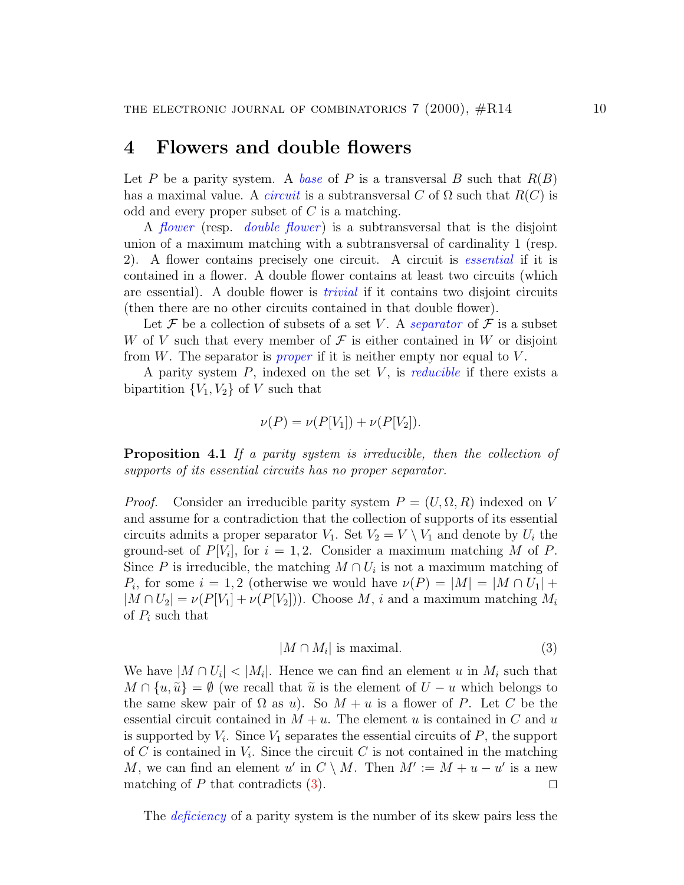### <span id="page-9-2"></span>4 Flowers and double flowers

Let P be a parity system. A base of P is a transversal B such that  $R(B)$ has a maximal value. A *circuit* is a subtransversal C of  $\Omega$  such that  $R(C)$  is odd and every proper subset of  $C$  is a matching.

A *flower* (resp. *double flower*) is a subtransversal that is the disjoint union of a maximum matching with a subtransversal of cardinality 1 (resp. 2). A flower contains precisely one circuit. A circuit is essential if it is contained in a flower. A double flower contains at least two circuits (which are essential). A double flower is trivial if it contains two disjoint circuits (then there are no other circuits contained in that double flower).

Let F be a collection of subsets of a set V. A separator of F is a subset W of V such that every member of  $\mathcal F$  is either contained in W or disjoint from W. The separator is *proper* if it is neither empty nor equal to  $V$ .

A parity system  $P$ , indexed on the set  $V$ , is *reducible* if there exists a bipartition  ${V_1, V_2}$  of V such that

$$
\nu(P) = \nu(P[V_1]) + \nu(P[V_2]).
$$

<span id="page-9-1"></span>**Proposition 4.1** If a parity system is irreducible, then the collection of supports of its essential circuits has no proper separator.

*Proof.* Consider an irreducible parity system  $P = (U, \Omega, R)$  indexed on V and assume for a contradiction that the collection of supports of its essential circuits admits a proper separator  $V_1$ . Set  $V_2 = V \setminus V_1$  and denote by  $U_i$  the ground-set of  $P[V_i]$ , for  $i = 1, 2$ . Consider a maximum matching M of P. Since P is irreducible, the matching  $M \cap U_i$  is not a maximum matching of  $P_i$ , for some  $i = 1, 2$  (otherwise we would have  $\nu(P) = |M| = |M \cap U_1| +$  $|M \cap U_2| = \nu(P[V_1] + \nu(P[V_2]))$ . Choose M, i and a maximum matching  $M_i$ of  $P_i$  such that

<span id="page-9-0"></span>
$$
|M \cap M_i| \text{ is maximal.} \tag{3}
$$

We have  $|M \cap U_i|$  <  $|M_i|$ . Hence we can find an element u in  $M_i$  such that  $M \cap \{u, \tilde{u}\} = \emptyset$  (we recall that  $\tilde{u}$  is the element of  $U - u$  which belongs to the same skew pair of  $\Omega$  as u). So  $M + u$  is a flower of P. Let C be the essential circuit contained in  $M + u$ . The element u is contained in C and u is supported by  $V_i$ . Since  $V_1$  separates the essential circuits of  $P$ , the support of C is contained in  $V_i$ . Since the circuit C is not contained in the matching M, we can find an element u' in  $C \setminus M$ . Then  $M' := M + u - u'$  is a new matching of P that contradicts [\(3](#page-9-0)).  $\Box$ 

The *deficiency* of a parity system is the number of its skew pairs less the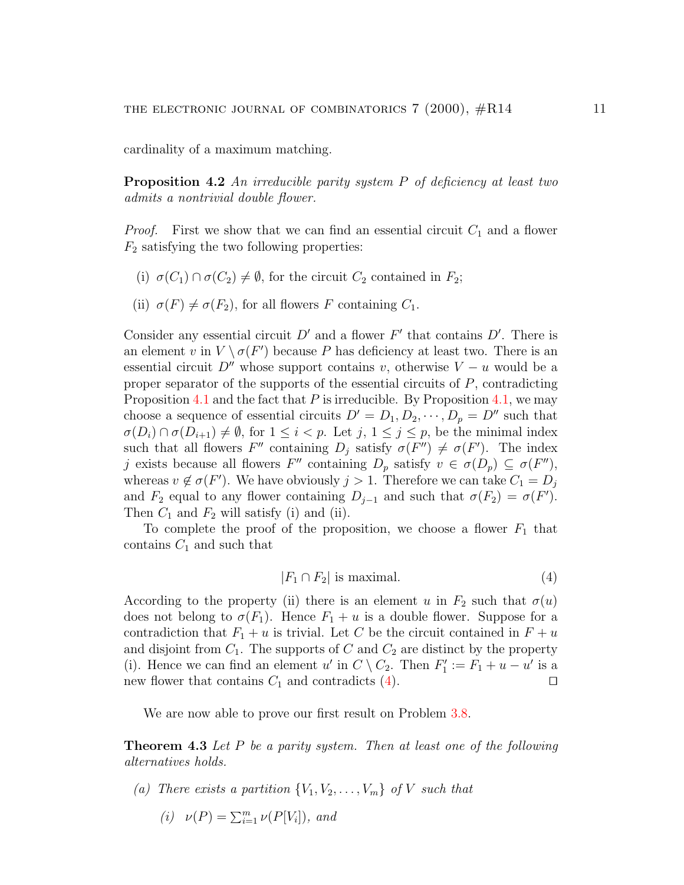cardinality of a maximum matching.

**Proposition 4.2** An irreducible parity system  $P$  of deficiency at least two admits a nontrivial double flower.

*Proof.* First we show that we can find an essential circuit  $C_1$  and a flower  $F_2$  satisfying the two following properties:

- (i)  $\sigma(C_1) \cap \sigma(C_2) \neq \emptyset$ , for the circuit  $C_2$  contained in  $F_2$ ;
- (ii)  $\sigma(F) \neq \sigma(F_2)$ , for all flowers F containing  $C_1$ .

Consider any essential circuit  $D'$  and a flower  $F'$  that contains  $D'$ . There is an element v in  $V \setminus \sigma(F')$  because P has deficiency at least two. There is an essential circuit  $D''$  whose support contains v, otherwise  $V - u$  would be a proper separator of the supports of the essential circuits of  $P$ , contradicting Proposition [4.1](#page-9-1) and the fact that  $P$  is irreducible. By Proposition [4.1,](#page-9-1) we may choose a sequence of essential circuits  $D' = D_1, D_2, \cdots, D_p = D''$  such that  $\sigma(D_i) \cap \sigma(D_{i+1}) \neq \emptyset$ , for  $1 \leq i < p$ . Let  $j, 1 \leq j \leq p$ , be the minimal index such that all flowers  $F''$  containing  $D_j$  satisfy  $\sigma(F'') \neq \sigma(F')$ . The index j exists because all flowers  $F''$  containing  $D_p$  satisfy  $v \in \sigma(D_p) \subseteq \sigma(F'')$ , whereas  $v \notin \sigma(F')$ . We have obviously  $j > 1$ . Therefore we can take  $C_1 = D_j$ and  $F_2$  equal to any flower containing  $D_{j-1}$  and such that  $\sigma(F_2) = \sigma(F')$ . Then  $C_1$  and  $F_2$  will satisfy (i) and (ii).

To complete the proof of the proposition, we choose a flower  $F_1$  that contains  $C_1$  and such that

<span id="page-10-0"></span>
$$
|F_1 \cap F_2| \text{ is maximal.} \tag{4}
$$

According to the property (ii) there is an element u in  $F_2$  such that  $\sigma(u)$ does not belong to  $\sigma(F_1)$ . Hence  $F_1 + u$  is a double flower. Suppose for a contradiction that  $F_1 + u$  is trivial. Let C be the circuit contained in  $F + u$ and disjoint from  $C_1$ . The supports of C and  $C_2$  are distinct by the property (i). Hence we can find an element u' in  $C \setminus C_2$ . Then  $F'_1$  $j'_{1} := \tilde{F}_{1} + u - u'$  is a newflower that contains  $C_1$  and contradicts ([4](#page-10-0)).

We are now able to prove our first result on Problem  $3.8$ .

<span id="page-10-1"></span>Theorem 4.3 Let P be a parity system. Then at least one of the following alternatives holds.

(a) There exists a partition  $\{V_1, V_2, \ldots, V_m\}$  of V such that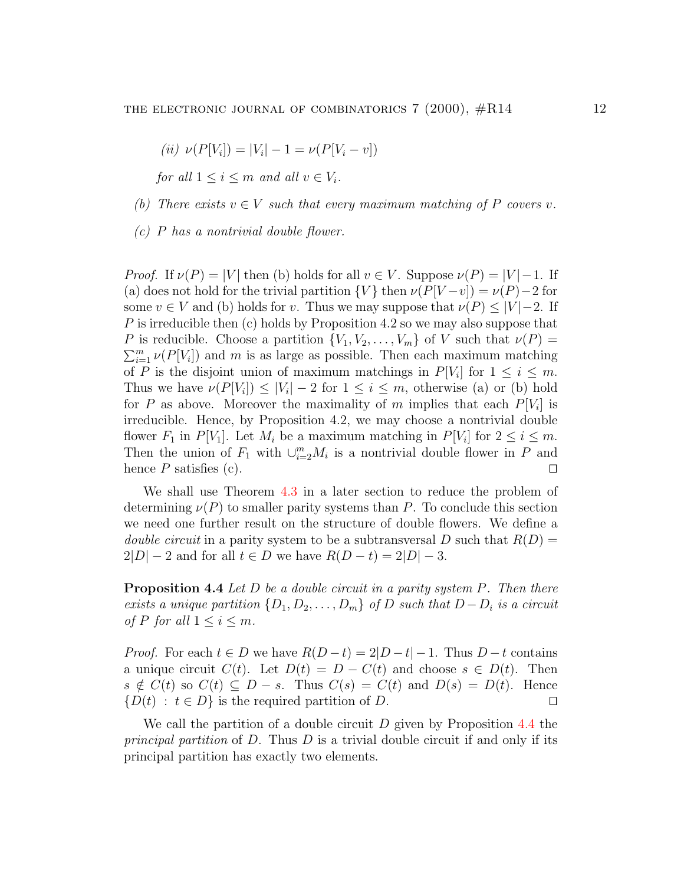(*ii*) 
$$
\nu(P[V_i]) = |V_i| - 1 = \nu(P[V_i - v])
$$

for all  $1 \leq i \leq m$  and all  $v \in V_i$ .

- (b) There exists  $v \in V$  such that every maximum matching of P covers v.
- $(c)$  P has a nontrivial double flower.

*Proof.* If  $\nu(P) = |V|$  then (b) holds for all  $v \in V$ . Suppose  $\nu(P) = |V| - 1$ . If (a) does not hold for the trivial partition  $\{V\}$  then  $\nu(P[V-v]) = \nu(P)-2$  for some  $v \in V$  and (b) holds for v. Thus we may suppose that  $\nu(P) \leq |V| - 2$ . If P is irreducible then (c) holds by Proposition 4.2 so we may also suppose that P is reducible. Choose a partition  $\{V_1, V_2, \ldots, V_m\}$  of V such that  $\nu(P)$  =  $\sum_{i=1}^{m} \nu(P[V_i])$  and m is as large as possible. Then each maximum matching of P is the disjoint union of maximum matchings in  $P[V_i]$  for  $1 \leq i \leq m$ . Thus we have  $\nu(P[V_i]) \leq |V_i| - 2$  for  $1 \leq i \leq m$ , otherwise (a) or (b) hold for P as above. Moreover the maximality of m implies that each  $P[V_i]$  is irreducible. Hence, by Proposition 4.2, we may choose a nontrivial double flower  $F_1$  in  $P[V_1]$ . Let  $M_i$  be a maximum matching in  $P[V_i]$  for  $2 \le i \le m$ . Then the union of  $F_1$  with  $\cup_{i=2}^m M_i$  is a nontrivial double flower in P and hence P satisfies (c).  $\Box$ 

We shall use Theorem [4.3](#page-10-1) in a later section to reduce the problem of determining  $\nu(P)$  to smaller parity systems than P. To conclude this section we need one further result on the structure of double flowers. We define a *double circuit* in a parity system to be a subtransversal D such that  $R(D) =$  $2|D|-2$  and for all  $t \in D$  we have  $R(D-t)=2|D|-3$ .

<span id="page-11-0"></span>**Proposition 4.4** Let  $D$  be a double circuit in a parity system  $P$ . Then there exists a unique partition  $\{D_1, D_2, \ldots, D_m\}$  of D such that  $D - D_i$  is a circuit of P for all  $1 \leq i \leq m$ .

*Proof.* For each  $t \in D$  we have  $R(D-t) = 2|D-t| - 1$ . Thus  $D-t$  contains a unique circuit  $C(t)$ . Let  $D(t) = D - C(t)$  and choose  $s \in D(t)$ . Then  $s \notin C(t)$  so  $C(t) \subseteq D - s$ . Thus  $C(s) = C(t)$  and  $D(s) = D(t)$ . Hence  $\{D(t) : t \in D\}$  is the required partition of D.

We call the partition of a double circuit  $D$  given by Proposition [4.4](#page-11-0) the principal partition of D. Thus D is a trivial double circuit if and only if its principal partition has exactly two elements.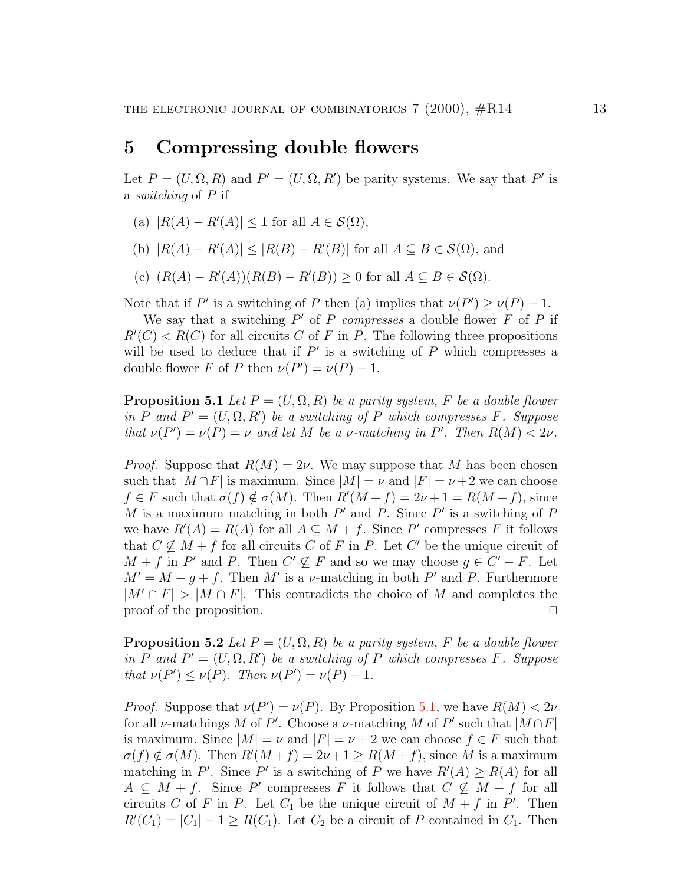## 5 Compressing double flowers

Let  $P = (U, \Omega, R)$  and  $P' = (U, \Omega, R')$  be parity systems. We say that P' is a switching of P if

- (a)  $|R(A) R'(A)| \leq 1$  for all  $A \in \mathcal{S}(\Omega)$ ,
- (b)  $|R(A) R'(A)| \leq |R(B) R'(B)|$  for all  $A \subseteq B \in \mathcal{S}(\Omega)$ , and
- (c)  $(R(A) R'(A))(R(B) R'(B)) \geq 0$  for all  $A \subseteq B \in \mathcal{S}(\Omega)$ .

Note that if P' is a switching of P then (a) implies that  $\nu(P') \ge \nu(P) - 1$ .

We say that a switching  $P'$  of P compresses a double flower  $\tilde{F}$  of P if  $R'(C) < R(C)$  for all circuits C of F in P. The following three propositions will be used to deduce that if  $P'$  is a switching of P which compresses a double flower F of P then  $\nu(P') = \nu(P) - 1$ .

<span id="page-12-0"></span>**Proposition 5.1** Let  $P = (U, \Omega, R)$  be a parity system, F be a double flower in P and  $P' = (U, \Omega, R')$  be a switching of P which compresses F. Suppose that  $\nu(P') = \nu(P) = \nu$  and let M be a v-matching in P'. Then  $R(M) < 2\nu$ .

*Proof.* Suppose that  $R(M) = 2\nu$ . We may suppose that M has been chosen such that  $|M \cap F|$  is maximum. Since  $|M| = \nu$  and  $|F| = \nu + 2$  we can choose  $f \in F$  such that  $\sigma(f) \notin \sigma(M)$ . Then  $R'(M + f) = 2\nu + 1 = R(M + f)$ , since M is a maximum matching in both  $P'$  and P. Since P' is a switching of P we have  $R'(A) = R(A)$  for all  $A \subseteq M + f$ . Since P' compresses F it follows that  $C \nsubseteq M + f$  for all circuits C of F in P. Let C' be the unique circuit of  $M + f$  in P' and P. Then  $C' \nsubseteq F$  and so we may choose  $g \in C' - F$ . Let  $M' = M - g + f$ . Then M' is a v-matching in both P' and P. Furthermore  $|M' \cap F| > |M \cap F|$ . This contradicts the choice of M and completes the proof of the proposition.  $\Box$ 

<span id="page-12-1"></span>**Proposition 5.2** Let  $P = (U, \Omega, R)$  be a parity system, F be a double flower in P and  $P' = (U, \Omega, R')$  be a switching of P which compresses F. Suppose that  $\nu(P') \leq \nu(P)$ . Then  $\nu(P') = \nu(P) - 1$ .

*Proof.* Suppose that  $\nu(P') = \nu(P)$ . By Proposition [5.1](#page-12-0), we have  $R(M) < 2\nu$ for all v-matchings M of P'. Choose a v-matching M of P' such that  $|M \cap F|$ is maximum. Since  $|M| = \nu$  and  $|F| = \nu + 2$  we can choose  $f \in F$  such that  $\sigma(f) \notin \sigma(M)$ . Then  $R'(M + f) = 2\nu + 1 \ge R(M + f)$ , since M is a maximum matching in P'. Since P' is a switching of P we have  $R'(A) \ge R(A)$  for all  $A \subseteq \overline{M} + f$ . Since P' compresses F it follows that  $C \nsubseteq M + f$  for all circuits C of F in P. Let  $C_1$  be the unique circuit of  $M + f$  in P'. Then  $R'(C_1) = |C_1| - 1 \geq R(C_1)$ . Let  $C_2$  be a circuit of P contained in  $C_1$ . Then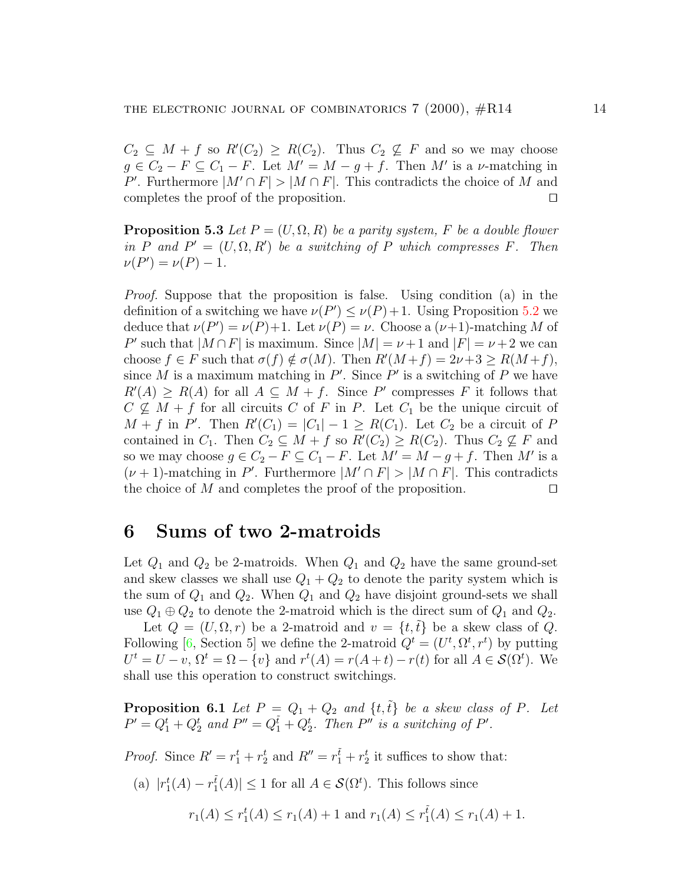$C_2 \subseteq M + f$  so  $R'(C_2) \geq R(C_2)$ . Thus  $C_2 \nsubseteq F$  and so we may choose  $g \in C_2 - F \subseteq C_1 - F$ . Let  $M' = M - g + f$ . Then M' is a v-matching in P'. Furthermore  $|M' \cap F| > |M \cap F|$ . This contradicts the choice of M and completes the proof of the proposition.  $\Box$ 

<span id="page-13-1"></span>**Proposition 5.3** Let  $P = (U, \Omega, R)$  be a parity system, F be a double flower in  $\overline{P}$  and  $P' = (U, \Omega, R')$  be a switching of  $\overline{P}$  which compresses  $F$ . Then  $\nu(P') = \nu(P) - 1.$ 

Proof. Suppose that the proposition is false. Using condition (a) in the definition of a switching we have  $\nu(P') \leq \nu(P) + 1$ . Using Proposition [5.2](#page-12-1) we deduce that  $\nu(P') = \nu(P) + 1$ . Let  $\nu(P) = \nu$ . Choose a  $(\nu+1)$ -matching M of P' such that  $|M \cap F|$  is maximum. Since  $|M| = \nu + 1$  and  $|F| = \nu + 2$  we can choose  $f \in F$  such that  $\sigma(f) \notin \sigma(M)$ . Then  $R'(M+f) = 2\nu + 3 \ge R(M+f)$ , since M is a maximum matching in  $P'$ . Since P' is a switching of P we have  $R'(A) \geq R(A)$  for all  $A \subseteq M + f$ . Since P' compresses F it follows that  $C \nsubseteq M + f$  for all circuits C of F in P. Let  $C_1$  be the unique circuit of  $M + f$  in P'. Then  $R'(C_1) = |C_1| - 1 \ge R(C_1)$ . Let  $C_2$  be a circuit of P contained in  $C_1$ . Then  $C_2 \subseteq M + f$  so  $R'(C_2) \ge R(C_2)$ . Thus  $C_2 \nsubseteq F$  and so we may choose  $g \in C_2 - F \subseteq C_1 - F$ . Let  $M' = M - g + f$ . Then M' is a  $(\nu+1)$ -matching in P'. Furthermore  $|M' \cap F| > |M \cap F|$ . This contradicts the choice of M and completes the proof of the proposition.  $\Box$ 

### <span id="page-13-2"></span>6 Sums of two 2-matroids

Let  $Q_1$  and  $Q_2$  be 2-matroids. When  $Q_1$  and  $Q_2$  have the same ground-set and skew classes we shall use  $Q_1 + Q_2$  to denote the parity system which is the sum of  $Q_1$  and  $Q_2$ . When  $Q_1$  and  $Q_2$  have disjoint ground-sets we shall use  $Q_1 \oplus Q_2$  to denote the 2-matroid which is the direct sum of  $Q_1$  and  $Q_2$ .

Let  $Q = (U, \Omega, r)$  be a 2-matroid and  $v = \{t, \tilde{t}\}\$ be a skew class of Q. Following[[6,](#page-21-6) Section 5] we define the 2-matroid  $Q^t = (U^t, \Omega^t, r^t)$  by putting  $U^t = U - v$ ,  $\Omega^t = \Omega - \{v\}$  and  $r^t(A) = r(A + t) - r(t)$  for all  $A \in \mathcal{S}(\Omega^t)$ . We shall use this operation to construct switchings.

<span id="page-13-0"></span>**Proposition 6.1** Let  $P = Q_1 + Q_2$  and  $\{t, \tilde{t}\}$  be a skew class of P. Let  $P' = Q_1^t + Q_2^t$  and  $P'' = Q_1^{\tilde{t}} + Q_2^t$ . Then  $P''$  is a switching of  $P'$ .

*Proof.* Since  $R' = r_1^t + r_2^t$  and  $R'' = r_1^{\tilde{t}} + r_2^t$  it suffices to show that:

(a) 
$$
|r_1^t(A) - r_1^{\tilde{t}}(A)| \le 1
$$
 for all  $A \in \mathcal{S}(\Omega^t)$ . This follows since

$$
r_1(A) \le r_1^t(A) \le r_1(A) + 1
$$
 and  $r_1(A) \le r_1^t(A) \le r_1(A) + 1$ .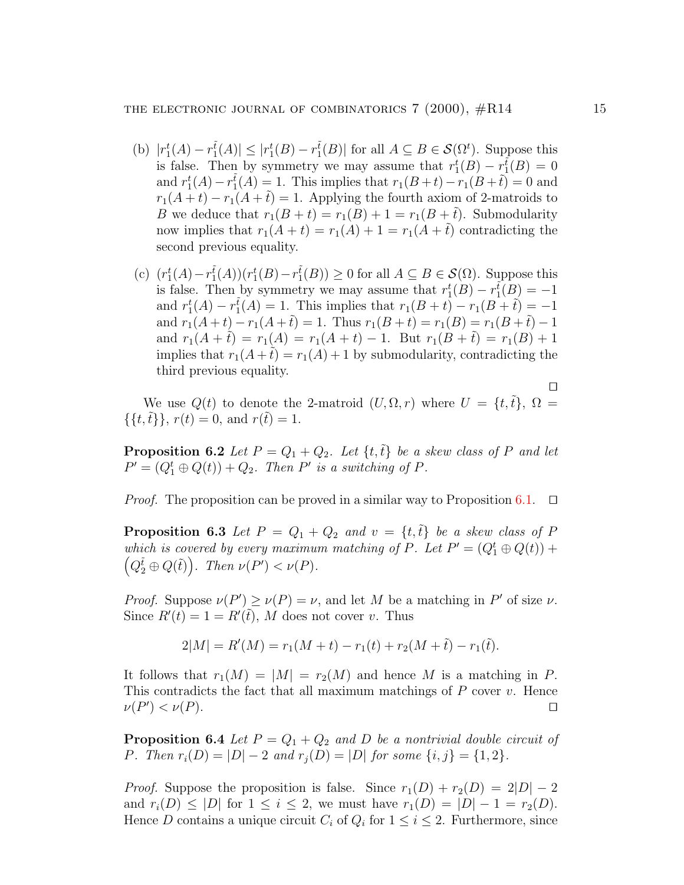- (b)  $|r_1^t(A) r_1^{\tilde{t}}(A)| \leq |r_1^t(B) r_1^{\tilde{t}}(B)|$  for all  $A \subseteq B \in \mathcal{S}(\Omega^t)$ . Suppose this is false. Then by symmetry we may assume that  $r_1^t(B) - r_1^t(B) = 0$ and  $r_1^t(A) - r_1^{\tilde{t}}(A) = 1$ . This implies that  $r_1(B+t) - r_1(B+\tilde{t}) = 0$  and  $r_1(A+t) - r_1(A+\tilde{t}) = 1$ . Applying the fourth axiom of 2-matroids to B we deduce that  $r_1(B + t) = r_1(B) + 1 = r_1(B + \tilde{t})$ . Submodularity now implies that  $r_1(A + t) = r_1(A) + 1 = r_1(A + \tilde{t})$  contradicting the second previous equality.
- (c)  $(r_1^t(A) r_1^{\tilde{t}}(A))(r_1^t(B) r_1^{\tilde{t}}(B)) \ge 0$  for all  $A \subseteq B \in \mathcal{S}(\Omega)$ . Suppose this is false. Then by symmetry we may assume that  $r_1^t(B) - r_1^{\tilde{t}}(B) = -1$ and  $r_1^t(A) - r_1^{\tilde{t}}(A) = 1$ . This implies that  $r_1(B + t) - r_1(B + \tilde{t}) = -1$ and  $r_1(A+t) - r_1(A+\tilde{t}) = 1$ . Thus  $r_1(B+t) = r_1(B) = r_1(B+\tilde{t}) - 1$ and  $r_1(A + \tilde{t}) = r_1(A) = r_1(A + t) - 1$ . But  $r_1(B + \tilde{t}) = r_1(B) + 1$ implies that  $r_1(A + \tilde{t}) = r_1(A) + 1$  by submodularity, contradicting the third previous equality.

We use  $Q(t)$  to denote the 2-matroid  $(U, \Omega, r)$  where  $U = \{t, \tilde{t}\}, \Omega =$  $\{\{t,\tilde{t}\}\}\,$ ,  $r(t) = 0$ , and  $r(\tilde{t}) = 1$ .

<span id="page-14-1"></span>**Proposition 6.2** Let  $P = Q_1 + Q_2$ . Let  $\{t, \tilde{t}\}\$ be a skew class of P and let  $P' = (Q_1^t \oplus Q(t)) + Q_2$ . Then P' is a switching of P.

*Proof.* The proposition can be proved in a similar way to Proposition [6.1](#page-13-0).  $\Box$ 

<span id="page-14-2"></span>**Proposition 6.3** Let  $P = Q_1 + Q_2$  and  $v = \{t, \tilde{t}\}\$ be a skew class of P which is covered by every maximum matching of P. Let  $P' = (Q_1^t \oplus Q(t))$  +  $(Q_2^{\tilde{t}} \oplus Q(\tilde{t}))$ . Then  $\nu(P') < \nu(P)$ .

*Proof.* Suppose  $\nu(P') \ge \nu(P) = \nu$ , and let M be a matching in P' of size  $\nu$ . Since  $R'(t) = 1 = R'(\tilde{t}), M$  does not cover v. Thus

$$
2|M| = R'(M) = r_1(M+t) - r_1(t) + r_2(M+\tilde{t}) - r_1(\tilde{t}).
$$

It follows that  $r_1(M) = |M| = r_2(M)$  and hence M is a matching in P. This contradicts the fact that all maximum matchings of  $P$  cover  $v$ . Hence  $\nu(P') < \nu(P).$ 

<span id="page-14-0"></span>**Proposition 6.4** Let  $P = Q_1 + Q_2$  and D be a nontrivial double circuit of P. Then  $r_i(D) = |D| - 2$  and  $r_i(D) = |D|$  for some  $\{i, j\} = \{1, 2\}.$ 

*Proof.* Suppose the proposition is false. Since  $r_1(D) + r_2(D) = 2|D| - 2$ and  $r_i(D) \leq |D|$  for  $1 \leq i \leq 2$ , we must have  $r_1(D) = |D| - 1 = r_2(D)$ . Hence D contains a unique circuit  $C_i$  of  $Q_i$  for  $1 \leq i \leq 2$ . Furthermore, since

 $\Box$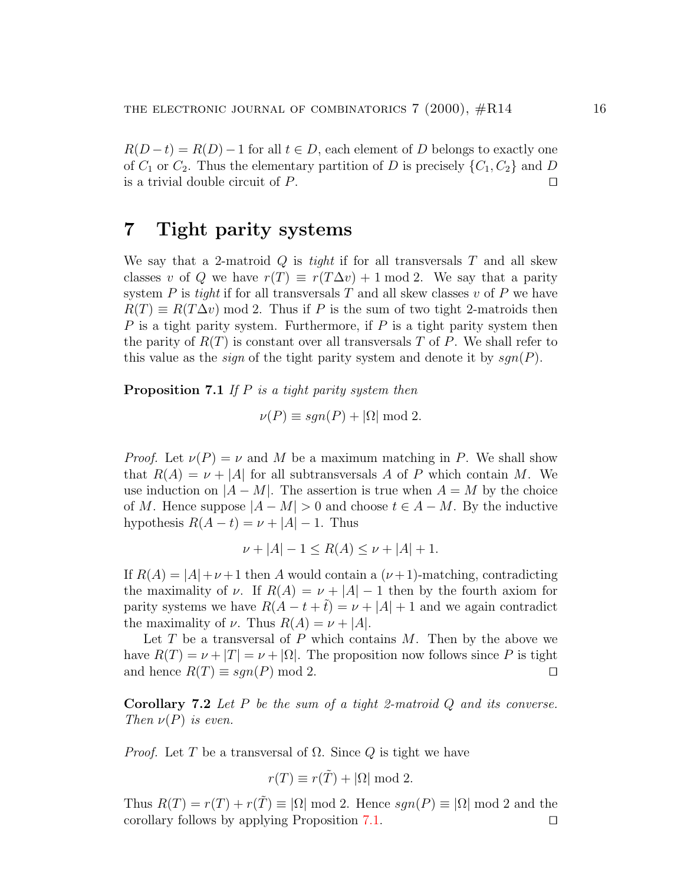$R(D-t) = R(D) - 1$  for all  $t \in D$ , each element of D belongs to exactly one of  $C_1$  or  $C_2$ . Thus the elementary partition of D is precisely  $\{C_1, C_2\}$  and D is a trivial double circuit of  $P$ .

## 7 Tight parity systems

We say that a 2-matroid  $Q$  is *tight* if for all transversals  $T$  and all skew classes v of Q we have  $r(T) \equiv r(T\Delta v) + 1 \mod 2$ . We say that a parity system P is tight if for all transversals T and all skew classes v of P we have  $R(T) \equiv R(T\Delta v) \mod 2$ . Thus if P is the sum of two tight 2-matroids then  $P$  is a tight parity system. Furthermore, if  $P$  is a tight parity system then the parity of  $R(T)$  is constant over all transversals T of P. We shall refer to this value as the *sign* of the tight parity system and denote it by  $sgn(P)$ .

<span id="page-15-0"></span>**Proposition 7.1** If  $P$  is a tight parity system then

$$
\nu(P) \equiv sgn(P) + |\Omega| \bmod 2.
$$

*Proof.* Let  $\nu(P) = \nu$  and M be a maximum matching in P. We shall show that  $R(A) = \nu + |A|$  for all subtransversals A of P which contain M. We use induction on  $|A - M|$ . The assertion is true when  $A = M$  by the choice of M. Hence suppose  $|A - M| > 0$  and choose  $t \in A - M$ . By the inductive hypothesis  $R(A - t) = \nu + |A| - 1$ . Thus

$$
\nu + |A| - 1 \le R(A) \le \nu + |A| + 1.
$$

If  $R(A) = |A| + \nu + 1$  then A would contain a  $(\nu + 1)$ -matching, contradicting the maximality of  $\nu$ . If  $R(A) = \nu + |A| - 1$  then by the fourth axiom for parity systems we have  $R(A - t + \tilde{t}) = \nu + |A| + 1$  and we again contradict the maximality of  $\nu$ . Thus  $R(A) = \nu + |A|$ .

Let  $T$  be a transversal of  $P$  which contains  $M$ . Then by the above we have  $R(T) = \nu + |T| = \nu + |\Omega|$ . The proposition now follows since P is tight and hence  $R(T) \equiv sgn(P) \mod 2$ .

<span id="page-15-1"></span>**Corollary 7.2** Let  $P$  be the sum of a tight 2-matroid  $Q$  and its converse. Then  $\nu(P)$  is even.

*Proof.* Let T be a transversal of  $\Omega$ . Since Q is tight we have

$$
r(T) \equiv r(\tilde{T}) + |\Omega| \mod 2.
$$

Thus  $R(T) = r(T) + r(T) \equiv |\Omega| \mod 2$ . Hence  $sgn(P) \equiv |\Omega| \mod 2$  and the corollary follows by applying Proposition [7.1.](#page-15-0)  $\Box$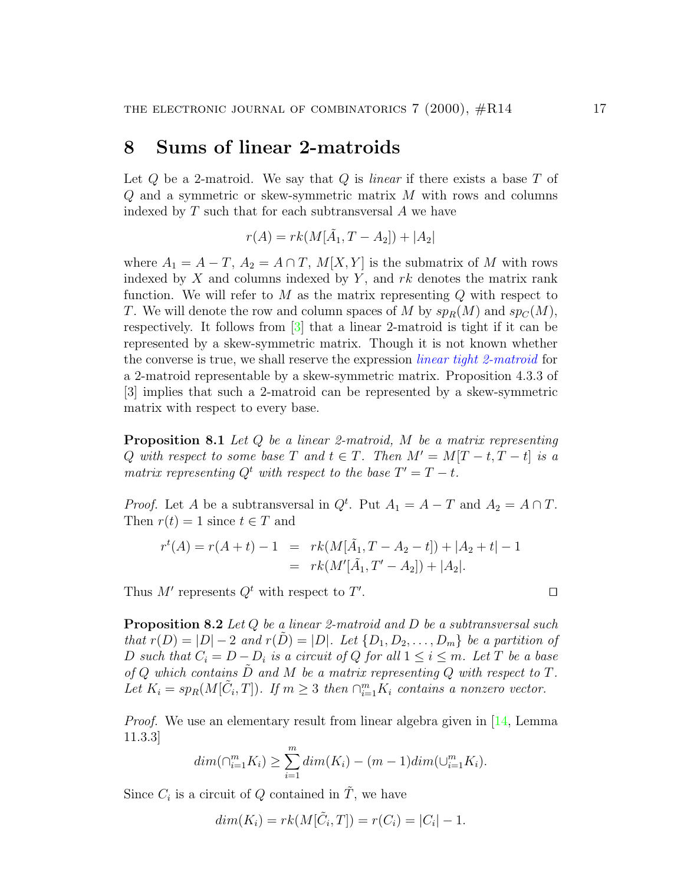### <span id="page-16-3"></span><span id="page-16-2"></span>8 Sums of linear 2-matroids

Let  $Q$  be a 2-matroid. We say that  $Q$  is *linear* if there exists a base  $T$  of Q and a symmetric or skew-symmetric matrix M with rows and columns indexed by  $T$  such that for each subtransversal  $A$  we have

$$
r(A) = rk(M[\tilde{A}_1, T - A_2]) + |A_2|
$$

where  $A_1 = A - T$ ,  $A_2 = A \cap T$ ,  $M[X, Y]$  is the submatrix of M with rows indexed by X and columns indexed by Y, and  $rk$  denotes the matrix rank function. We will refer to  $M$  as the matrix representing  $Q$  with respect to T. We will denote the row and column spaces of M by  $sp_R(M)$  and  $sp_C(M)$ , respectively. It follows from [\[3](#page-20-1)] that a linear 2-matroid is tight if it can be represented by a skew-symmetric matrix. Though it is not known whether the converse is true, we shall reserve the expression linear tight 2-matroid for a 2-matroid representable by a skew-symmetric matrix. Proposition 4.3.3 of [3] implies that such a 2-matroid can be represented by a skew-symmetric matrix with respect to every base.

<span id="page-16-1"></span>**Proposition 8.1** Let  $Q$  be a linear 2-matroid,  $M$  be a matrix representing Q with respect to some base T and  $t \in T$ . Then  $M' = M[T - t, T - t]$  is a matrix representing  $Q^t$  with respect to the base  $T' = T - t$ .

*Proof.* Let A be a subtransversal in  $Q^t$ . Put  $A_1 = A - T$  and  $A_2 = A \cap T$ . Then  $r(t) = 1$  since  $t \in T$  and

$$
r^{t}(A) = r(A+t) - 1 = rk(M[\tilde{A}_1, T - A_2 - t]) + |A_2 + t| - 1
$$
  
=  $rk(M'[\tilde{A}_1, T' - A_2]) + |A_2|.$ 

Thus M' represents  $Q^t$  with respect to T'

<span id="page-16-0"></span>**Proposition 8.2** Let  $Q$  be a linear 2-matroid and  $D$  be a subtransversal such that  $r(D) = |D| - 2$  and  $r(D) = |D|$ . Let  $\{D_1, D_2, \ldots, D_m\}$  be a partition of D such that  $C_i = D - D_i$  is a circuit of Q for all  $1 \leq i \leq m$ . Let T be a base of  $Q$  which contains  $D$  and  $M$  be a matrix representing  $Q$  with respect to  $T$ . Let  $K_i = sp_R(M[\tilde{C}_i, T])$ . If  $m \geq 3$  then  $\bigcap_{i=1}^m K_i$  contains a nonzero vector.

Proof. We use an elementary result from linear algebra given in[[14,](#page-21-7) Lemma 11.3.3]

$$
dim(\bigcap_{i=1}^{m} K_i) \ge \sum_{i=1}^{m} dim(K_i) - (m-1)dim(\bigcup_{i=1}^{m} K_i).
$$

Since  $C_i$  is a circuit of Q contained in  $\tilde{T}$ , we have

$$
dim(K_i) = rk(M[\tilde{C}_i, T]) = r(C_i) = |C_i| - 1.
$$

. **D**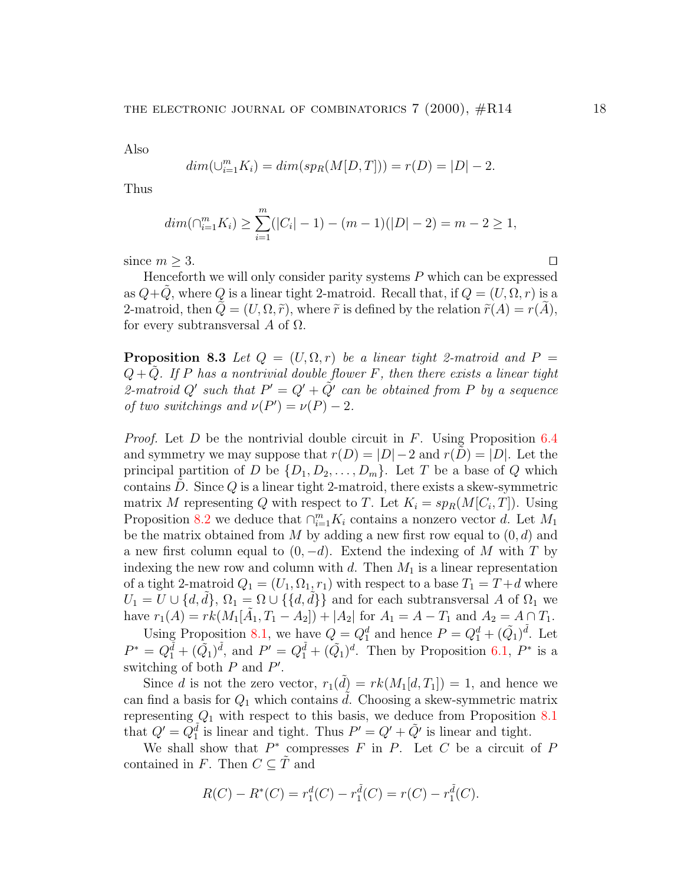Also

$$
dim(\bigcup_{i=1}^{m} K_i) = dim(sp_R(M[D, T])) = r(D) = |D| - 2.
$$

Thus

$$
dim(\bigcap_{i=1}^{m} K_i) \geq \sum_{i=1}^{m} (|C_i| - 1) - (m - 1)(|D| - 2) = m - 2 \geq 1,
$$

since  $m \geq 3$ .

Henceforth we will only consider parity systems  $P$  which can be expressed as  $Q+Q$ , where Q is a linear tight 2-matroid. Recall that, if  $Q = (U, \Omega, r)$  is a 2-matroid, then  $Q=(U,\Omega,\tilde{r})$ , where  $\tilde{r}$  is defined by the relation  $\tilde{r}(A)=r(A)$ , for every subtransversal A of  $\Omega$ .

<span id="page-17-0"></span>**Proposition 8.3** Let  $Q = (U, \Omega, r)$  be a linear tight 2-matroid and  $P =$  $Q + Q$ . If P has a nontrivial double flower F, then there exists a linear tight 2-matroid Q' such that  $P' = Q' + \tilde{Q'}$  can be obtained from P by a sequence of two switchings and  $\nu(P') = \nu(P) - 2$ .

*Proof.* Let D be the nontrivial double circuit in F. Using Proposition [6.4](#page-14-0) and symmetry we may suppose that  $r(D) = |D| - 2$  and  $r(D) = |D|$ . Let the principal partition of D be  $\{D_1, D_2, \ldots, D_m\}$ . Let T be a base of Q which contains  $D$ . Since  $Q$  is a linear tight 2-matroid, there exists a skew-symmetric matrix M representing Q with respect to T. Let  $K_i = sp_R(M[C_i, T])$ . Using Proposition [8.2](#page-16-0) we deduce that  $\cap_{i=1}^m K_i$  contains a nonzero vector d. Let  $M_1$ be the matrix obtained from M by adding a new first row equal to  $(0, d)$  and a new first column equal to  $(0, -d)$ . Extend the indexing of M with T by indexing the new row and column with  $d$ . Then  $M_1$  is a linear representation of a tight 2-matroid  $Q_1 = (U_1, \Omega_1, r_1)$  with respect to a base  $T_1 = T + d$  where  $U_1 = U \cup \{d, d\}, \Omega_1 = \Omega \cup \{\{d, d\}\}\$ and for each subtransversal A of  $\Omega_1$  we have  $r_1(A) = rk(M_1[\tilde{A}_1, T_1 - A_2]) + |A_2|$  for  $A_1 = A - T_1$  and  $A_2 = A \cap T_1$ .

Using Proposition [8.1,](#page-16-1) we have  $Q = Q_1^d$  and hence  $P = Q_1^d + (\tilde{Q}_1)^{\tilde{d}}$ . Let  $P^* = Q_1^{\tilde{d}} + (\tilde{Q_1})^{\tilde{d}}$ , and  $P' = Q_1^{\tilde{d}} + (\tilde{Q_1})^d$ . Then by Proposition [6.1,](#page-13-0)  $P^*$  is a switching of both  $P$  and  $P'$ .

Since d is not the zero vector,  $r_1(\tilde{d}) = rk(M_1[d, T_1]) = 1$ , and hence we can find a basis for  $Q_1$  which contains d. Choosing a skew-symmetric matrix representing  $Q_1$  with respect to this basis, we deduce from Proposition [8.1](#page-16-1) that  $Q' = Q_1^{\tilde{d}}$  is linear and tight. Thus  $P' = Q' + \tilde{Q}'$  is linear and tight.

We shall show that  $P^*$  compresses  $F$  in  $P$ . Let  $C$  be a circuit of  $P$ contained in F. Then  $C \subseteq \tilde{T}$  and

$$
R(C) - R^*(C) = r_1^d(C) - r_1^{\tilde{d}}(C) = r(C) - r_1^{\tilde{d}}(C).
$$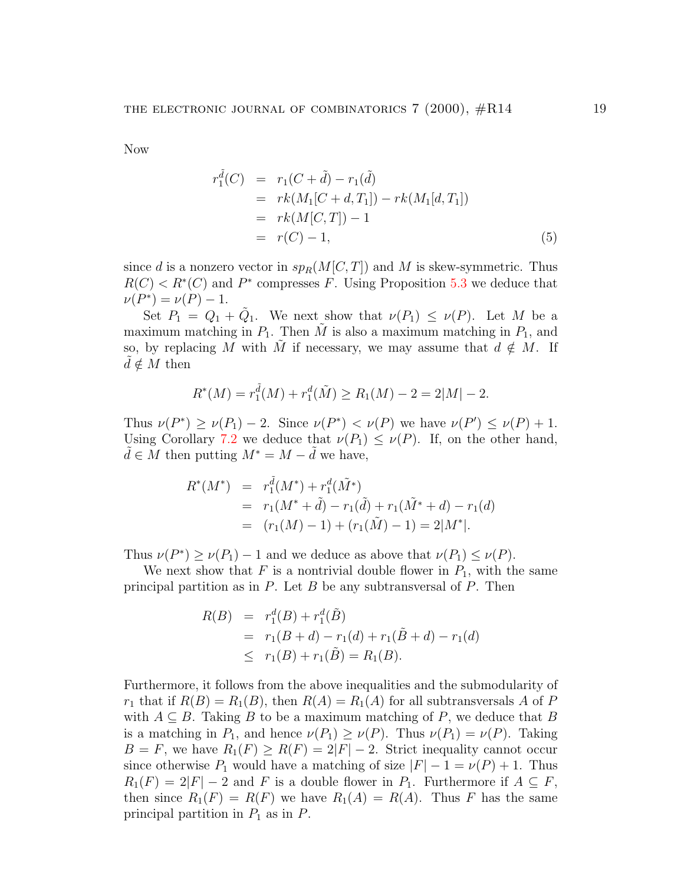Now

<span id="page-18-0"></span>
$$
r_1^{\tilde{d}}(C) = r_1(C + \tilde{d}) - r_1(\tilde{d})
$$
  
=  $rk(M_1[C + d, T_1]) - rk(M_1[d, T_1])$   
=  $rk(M[C, T]) - 1$   
=  $r(C) - 1,$  (5)

since d is a nonzero vector in  $sp_R(M[C,T])$  and M is skew-symmetric. Thus  $R(C) < R^*(C)$  and  $P^*$  compresses F. Using Proposition [5.3](#page-13-1) we deduce that  $\nu(P^*) = \nu(P) - 1.$ 

Set  $P_1 = Q_1 + \tilde{Q}_1$ . We next show that  $\nu(P_1) \leq \nu(P)$ . Let M be a maximum matching in  $P_1$ . Then  $\tilde{M}$  is also a maximum matching in  $P_1$ , and so, by replacing M with M if necessary, we may assume that  $d \notin M$ . If  $d \notin M$  then

$$
R^*(M) = r_1^{\tilde{d}}(M) + r_1^d(\tilde{M}) \ge R_1(M) - 2 = 2|M| - 2.
$$

Thus  $\nu(P^*) \ge \nu(P_1) - 2$ . Since  $\nu(P^*) < \nu(P)$  we have  $\nu(P') \le \nu(P) + 1$ . Using Corollary [7.2](#page-15-1) we deduce that  $\nu(P_1) \leq \nu(P)$ . If, on the other hand,  $\tilde{d} \in M$  then putting  $M^* = M - \tilde{d}$  we have,

$$
R^*(M^*) = r_1^{\tilde{d}}(M^*) + r_1^d(\tilde{M}^*)
$$
  
=  $r_1(M^* + \tilde{d}) - r_1(\tilde{d}) + r_1(\tilde{M}^* + d) - r_1(d)$   
=  $(r_1(M) - 1) + (r_1(\tilde{M}) - 1) = 2|M^*|.$ 

Thus  $\nu(P^*) \ge \nu(P_1) - 1$  and we deduce as above that  $\nu(P_1) \le \nu(P)$ .

We next show that F is a nontrivial double flower in  $P_1$ , with the same principal partition as in  $P$ . Let  $B$  be any subtransversal of  $P$ . Then

$$
R(B) = r_1^d(B) + r_1^d(\tilde{B})
$$
  
=  $r_1(B + d) - r_1(d) + r_1(\tilde{B} + d) - r_1(d)$   
 $\leq r_1(B) + r_1(\tilde{B}) = R_1(B).$ 

Furthermore, it follows from the above inequalities and the submodularity of  $r_1$  that if  $R(B) = R_1(B)$ , then  $R(A) = R_1(A)$  for all subtransversals A of P with  $A \subseteq B$ . Taking B to be a maximum matching of P, we deduce that B is a matching in  $P_1$ , and hence  $\nu(P_1) \geq \nu(P)$ . Thus  $\nu(P_1) = \nu(P)$ . Taking  $B = F$ , we have  $R_1(F) \ge R(F) = 2|F| - 2$ . Strict inequality cannot occur since otherwise  $P_1$  would have a matching of size  $|F| - 1 = \nu(P) + 1$ . Thus  $R_1(F) = 2|F| - 2$  and F is a double flower in  $P_1$ . Furthermore if  $A \subseteq F$ , then since  $R_1(F) = R(F)$  we have  $R_1(A) = R(A)$ . Thus F has the same principal partition in  $P_1$  as in  $P$ .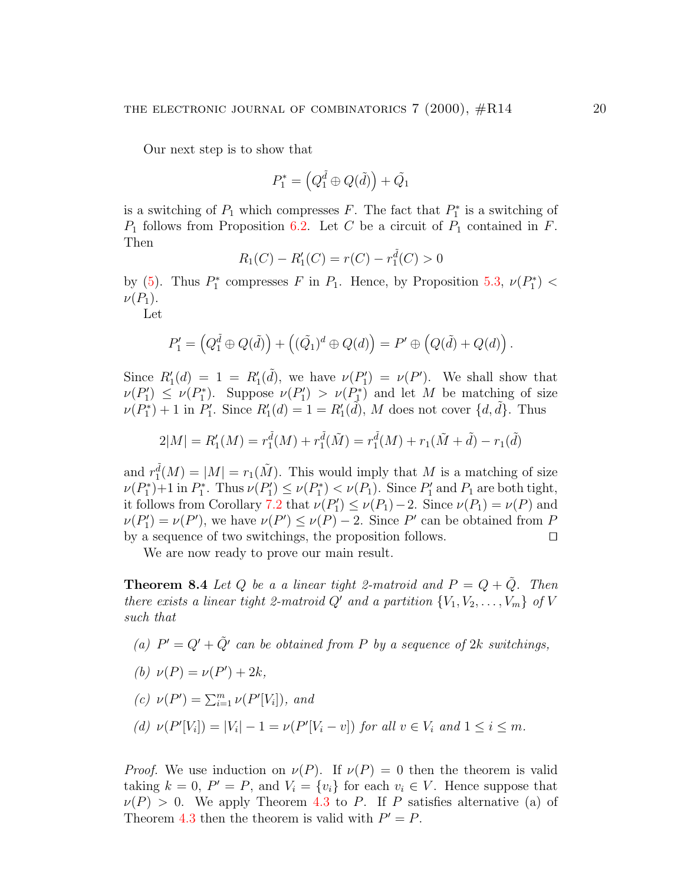Our next step is to show that

$$
P_1^* = \left(Q_1^{\tilde{d}} \oplus Q(\tilde{d})\right) + \tilde{Q_1}
$$

is a switching of  $P_1$  which compresses F. The fact that  $P_1^*$  $P_1^*$  is a switching of  $P_1$  follows from Proposition [6.2.](#page-14-1) Let C be a circuit of  $P_1$  contained in F. Then

$$
R_1(C) - R'_1(C) = r(C) - r_1^{\tilde{d}}(C) > 0
$$

by  $(5)$ . Thus  $P_1^*$ <sup>\*</sup><sub>1</sub></sub> compresses F in  $P_1$ . Hence, by Proposition [5.3](#page-13-1),  $\nu(P_1^*)$  $\binom{1}{1}$   $<$  $\nu(P_1)$ .

Let

$$
P_1' = \left(Q_1^{\tilde{d}} \oplus Q(\tilde{d})\right) + \left((\tilde{Q}_1)^d \oplus Q(d)\right) = P' \oplus \left(Q(\tilde{d}) + Q(d)\right).
$$

Since  $R'_1(d) = 1 = R'_1(\tilde{d})$ , we have  $\nu(P'_1)$  $\nu(1') = \nu(P')$ . We shall show that  $\nu(P_1)$  $\nu'_1$ )  $\leq \nu(P_1^*)$ <sup>2\*</sup>). Suppose  $\nu(P_1')$  $\nu(P_1^*) > \nu(P_1^*)$  $\binom{1}{1}$  and let M be matching of size  $\nu(P_1^*)$  $\binom{p}{1}+1$  in  $\binom{p}{1}$  $R'_1$ . Since  $R'_1(d) = 1 = R'_1(\tilde{d})$ , M does not cover  $\{d, \tilde{d}\}$ . Thus

$$
2|M| = R'_1(M) = r_1(\tilde{M}) + r_1(\tilde{M}) = r_1(\tilde{M}) + r_1(\tilde{M} + \tilde{d}) - r_1(\tilde{d})
$$

and  $r_1^{\tilde{d}}(M) = |M| = r_1(\tilde{M})$ . This would imply that M is a matching of size  $\nu(P_1^*)$  $P_1^*$  + 1 in  $P_1^*$  $P_1^*$ . Thus  $\nu(P_1')$  $\nu'_1$ )  $\leq \nu(P_1^*)$  $P_1^*$ ) <  $\nu(P_1)$ . Since  $P_1'$  $P_1'$  and  $P_1$  are both tight, it follows from Corollary [7.2](#page-15-1) that  $\nu(P_1)$  $\nu'_1$ )  $\leq \nu(P_1) - 2$ . Since  $\nu(P_1) = \nu(P)$  and  $\nu(P_1)$  $\nu'(P) = \nu(P')$ , we have  $\nu(P') \leq \nu(P) - 2$ . Since P' can be obtained from P by a sequence of two switchings, the proposition follows.  $\Box$ 

We are now ready to prove our main result.

<span id="page-19-0"></span>**Theorem 8.4** Let Q be a a linear tight 2-matroid and  $P = Q + \tilde{Q}$ . Then there exists a linear tight 2-matroid Q' and a partition  $\{V_1, V_2, \ldots, V_m\}$  of V such that

(a)  $P' = Q' + \tilde{Q}'$  can be obtained from P by a sequence of 2k switchings,

$$
(b) \ \nu(P) = \nu(P') + 2k,
$$

(c) 
$$
\nu(P') = \sum_{i=1}^{m} \nu(P'[V_i])
$$
, and

<span id="page-19-1"></span>(d)  $\nu(P'[V_i]) = |V_i| - 1 = \nu(P'[V_i - v])$  for all  $v \in V_i$  and  $1 \le i \le m$ .

*Proof.* We use induction on  $\nu(P)$ . If  $\nu(P) = 0$  then the theorem is valid taking  $k = 0$ ,  $P' = P$ , and  $V_i = \{v_i\}$  for each  $v_i \in V$ . Hence suppose that  $\nu(P) > 0$ . We apply Theorem [4.3](#page-10-1) to P. If P satisfies alternative (a) of Theorem [4.3](#page-10-1) then the theorem is valid with  $P' = P$ .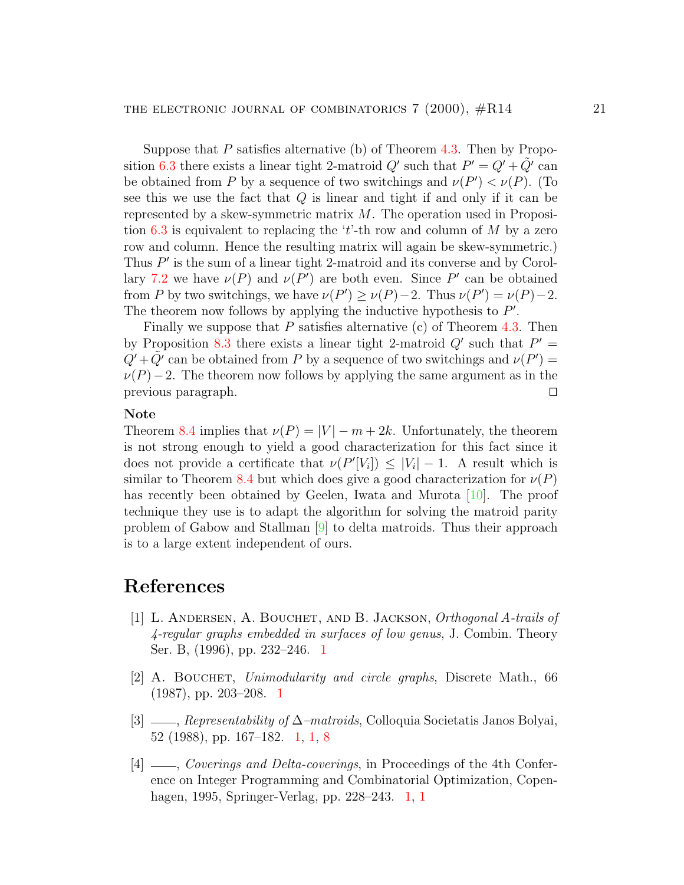Suppose that P satisfies alternative (b) of Theorem  $4.3$ . Then by Propo-sition [6.3](#page-14-2) there exists a linear tight 2-matroid  $Q'$  such that  $P' = Q' + \tilde{Q}'$  can be obtained from P by a sequence of two switchings and  $\nu(P') < \nu(P)$ . (To see this we use the fact that Q is linear and tight if and only if it can be represented by a skew-symmetric matrix M. The operation used in Proposi-tion [6.3](#page-14-2) is equivalent to replacing the 't'-th row and column of M by a zero row and column. Hence the resulting matrix will again be skew-symmetric.) Thus  $P'$  is the sum of a linear tight 2-matroid and its converse and by Corol-lary [7.2](#page-15-1) we have  $\nu(P)$  and  $\nu(P')$  are both even. Since P' can be obtained from P by two switchings, we have  $\nu(P') \ge \nu(P) - 2$ . Thus  $\nu(P') = \nu(P) - 2$ . The theorem now follows by applying the inductive hypothesis to  $P'$ .

Finally we suppose that P satisfies alternative  $(c)$  of Theorem [4.3](#page-10-1). Then by Proposition [8.3](#page-17-0) there exists a linear tight 2-matroid  $Q'$  such that  $P' =$  $Q' + \tilde{Q'}$  can be obtained from P by a sequence of two switchings and  $\nu(P') =$  $\nu(P)-2$ . The theorem now follows by applying the same argument as in the previous paragraph.  $\Box$ 

#### Note

Theorem [8.4](#page-19-0) implies that  $\nu(P) = |V| - m + 2k$ . Unfortunately, the theorem is not strong enough to yield a good characterization for this fact since it does not provide a certificate that  $\nu(P'[V_i]) \leq |V_i| - 1$ . A result which is similar to Theorem [8.4](#page-19-0) but which does give a good characterization for  $\nu(P)$ hasrecently been obtained by Geelen, Iwata and Murota [[10](#page-21-8)]. The proof technique they use is to adapt the algorithm for solving the matroid parity problem of Gabow and Stallman [\[9\]](#page-21-9) to delta matroids. Thus their approach is to a large extent independent of ours.

## References

- <span id="page-20-3"></span>[1] L. Andersen, A. Bouchet, and B. Jackson, Orthogonal A-trails of 4-regular graphs embedded in surfaces of low genus, J. Combin. Theory Ser. B, (1996), pp. 232–246. [1](#page-3-0)
- <span id="page-20-2"></span>[2] A. Bouchet, Unimodularity and circle graphs, Discrete Math., 66 (1987), pp. 203–208. [1](#page-3-1)
- <span id="page-20-1"></span>[3] , Representability of ∆–matroids, Colloquia Societatis Janos Bolyai, 52 (1988), pp. 167–182. [1,](#page-1-0) [1,](#page-4-0) [8](#page-16-2)
- <span id="page-20-0"></span>[4]  $\frac{1}{2}$ , *Coverings and Delta-coverings*, in Proceedings of the 4th Conference on Integer Programming and Combinatorial Optimization, Copenhagen, 1995, Springer-Verlag, pp. 228–243. [1](#page-1-2), [1](#page-1-0)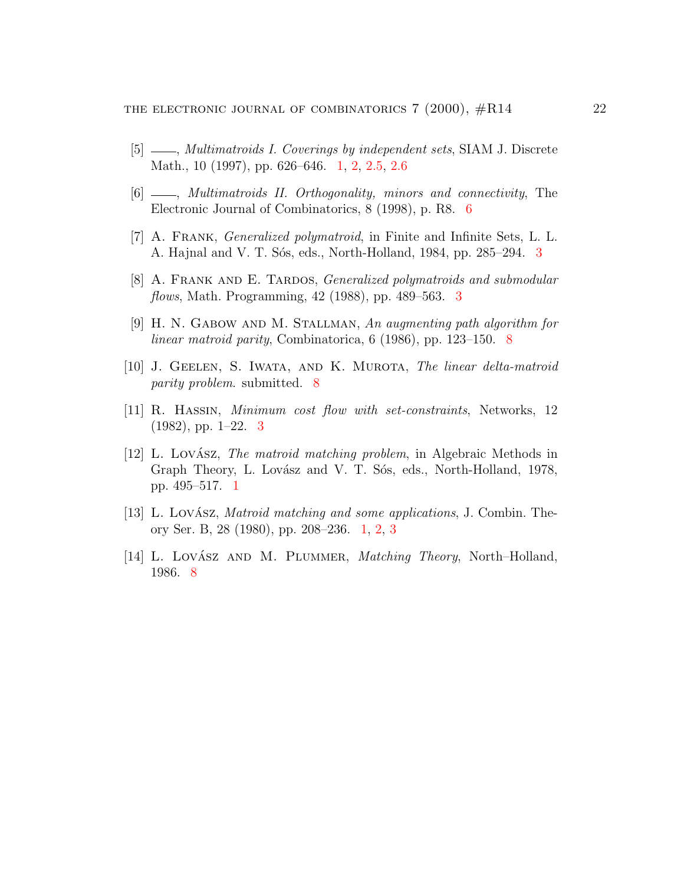- <span id="page-21-2"></span> $[5]$   $\_\_\_\_\$ n, Multimatroids I. Coverings by independent sets, SIAM J. Discrete Math., 10 (1997), pp. 626–646. [1,](#page-1-0) [2,](#page-4-1) [2.5,](#page-5-2) [2.6](#page-5-3)
- <span id="page-21-6"></span>[6]  $\_\_\_\_\$  Multimatroids II. Orthogonality, minors and connectivity, The Electronic Journal of Combinatorics, 8 (1998), p. R8. [6](#page-13-2)
- <span id="page-21-3"></span>[7] A. Frank, Generalized polymatroid, in Finite and Infinite Sets, L. L. A. Hajnal and V. T. Sós, eds., North-Holland, 1984, pp. 285–294. [3](#page-7-1)
- <span id="page-21-5"></span>[8] A. FRANK AND E. TARDOS, *Generalized polymatroids and submodular* flows, Math. Programming, 42 (1988), pp. 489–563. [3](#page-7-1)
- <span id="page-21-9"></span>[9] H. N. Gabow and M. Stallman, An augmenting path algorithm for linear matroid parity, Combinatorica, 6 (1986), pp. 123–150. [8](#page-19-1)
- <span id="page-21-8"></span>[10] J. Geelen, S. Iwata, and K. Murota, The linear delta-matroid parity problem. submitted. [8](#page-19-1)
- <span id="page-21-4"></span>[11] R. Hassin, Minimum cost flow with set-constraints, Networks, 12  $(1982)$ , pp. 1–22. [3](#page-7-1)
- <span id="page-21-1"></span> $[12]$  L. Lovász, *The matroid matching problem*, in Algebraic Methods in Graph Theory, L. Lovász and V. T. Sós, eds., North-Holland, 1978, pp. 495–517. [1](#page-1-0)
- <span id="page-21-0"></span>[13] L. Lovász, *Matroid matching and some applications*, J. Combin. Theory Ser. B, 28 (1980), pp. 208–236. [1,](#page-1-0) [2,](#page-6-3) [3](#page-7-1)
- <span id="page-21-7"></span>[14] L. Lovász AND M. PLUMMER, *Matching Theory*, North–Holland, 1986. [8](#page-16-0)